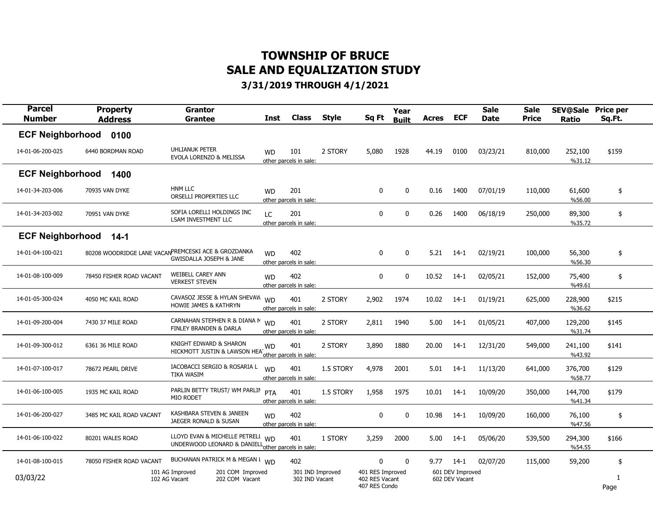| <b>Parcel</b><br><b>Number</b> | <b>Property</b><br><b>Address</b> | Grantor<br>Grantee                                                                             | Inst      | <b>Class</b>                       | <b>Style</b> | Sq Ft                                               | Year<br><b>Built</b> | <b>Acres</b> | <b>ECF</b>                         | <b>Sale</b><br><b>Date</b> | <b>Sale</b><br><b>Price</b> | <b>SEV@Sale</b><br><b>Ratio</b> | <b>Price per</b><br>Sq.Ft. |  |
|--------------------------------|-----------------------------------|------------------------------------------------------------------------------------------------|-----------|------------------------------------|--------------|-----------------------------------------------------|----------------------|--------------|------------------------------------|----------------------------|-----------------------------|---------------------------------|----------------------------|--|
| <b>ECF Neighborhood</b>        | 0100                              |                                                                                                |           |                                    |              |                                                     |                      |              |                                    |                            |                             |                                 |                            |  |
| 14-01-06-200-025               | 6440 BORDMAN ROAD                 | <b>UHLIANUK PETER</b><br>EVOLA LORENZO & MELISSA                                               | <b>WD</b> | 101<br>other parcels in sale:      | 2 STORY      | 5,080                                               | 1928                 | 44.19        | 0100                               | 03/23/21                   | 810,000                     | 252,100<br>%31.12               | \$159                      |  |
| <b>ECF Neighborhood</b>        | 1400                              |                                                                                                |           |                                    |              |                                                     |                      |              |                                    |                            |                             |                                 |                            |  |
| 14-01-34-203-006               | 70935 VAN DYKE                    | <b>HNM LLC</b><br>ORSELLI PROPERTIES LLC                                                       | <b>WD</b> | 201<br>other parcels in sale:      |              | $\mathbf 0$                                         | $\mathbf 0$          | 0.16         | 1400                               | 07/01/19                   | 110,000                     | 61,600<br>%56.00                | \$                         |  |
| 14-01-34-203-002               | 70951 VAN DYKE                    | SOFIA LORELLI HOLDINGS INC<br>LSAM INVESTMENT LLC                                              | LC        | 201<br>other parcels in sale:      |              | $\mathbf 0$                                         | $\mathbf 0$          | 0.26         | 1400                               | 06/18/19                   | 250,000                     | 89,300<br>%35.72                | \$                         |  |
| <b>ECF Neighborhood</b>        | $14-1$                            |                                                                                                |           |                                    |              |                                                     |                      |              |                                    |                            |                             |                                 |                            |  |
| 14-01-04-100-021               |                                   | 80208 WOODRIDGE LANE VACANPREMCESKI ACE & GROZDANKA<br><b>GWISDALLA JOSEPH &amp; JANE</b>      | <b>WD</b> | 402<br>other parcels in sale:      |              | 0                                                   | $\mathbf 0$          | 5.21         | $14-1$                             | 02/19/21                   | 100,000                     | 56,300<br>%56.30                | \$                         |  |
| 14-01-08-100-009               | 78450 FISHER ROAD VACANT          | WEIBELL CAREY ANN<br><b>VERKEST STEVEN</b>                                                     | <b>WD</b> | 402<br>other parcels in sale:      |              | 0                                                   | 0                    | 10.52        | $14-1$                             | 02/05/21                   | 152,000                     | 75,400<br>%49.61                | \$                         |  |
| 14-01-05-300-024               | 4050 MC KAIL ROAD                 | CAVASOZ JESSE & HYLAN SHEVAW<br>HOWIE JAMES & KATHRYN                                          | <b>WD</b> | 401<br>other parcels in sale:      | 2 STORY      | 2,902                                               | 1974                 | 10.02        | $14-1$                             | 01/19/21                   | 625,000                     | 228,900<br>%36.62               | \$215                      |  |
| 14-01-09-200-004               | 7430 37 MILE ROAD                 | CARNAHAN STEPHEN R & DIANA M<br><b>FINLEY BRANDEN &amp; DARLA</b>                              | <b>WD</b> | 401<br>other parcels in sale:      | 2 STORY      | 2,811                                               | 1940                 | 5.00         | $14-1$                             | 01/05/21                   | 407,000                     | 129,200<br>%31.74               | \$145                      |  |
| 14-01-09-300-012               | 6361 36 MILE ROAD                 | KNIGHT EDWARD & SHARON<br>HICKMOTT JUSTIN & LAWSON HEA                                         | <b>WD</b> | 401<br>other parcels in sale:      | 2 STORY      | 3,890                                               | 1880                 | 20.00        | $14-1$                             | 12/31/20                   | 549,000                     | 241,100<br>%43.92               | \$141                      |  |
| 14-01-07-100-017               | 78672 PEARL DRIVE                 | IACOBACCI SERGIO & ROSARIA L<br><b>TIKA WASIM</b>                                              | <b>WD</b> | 401<br>other parcels in sale:      | 1.5 STORY    | 4,978                                               | 2001                 | 5.01         | $14-1$                             | 11/13/20                   | 641,000                     | 376,700<br>%58.77               | \$129                      |  |
| 14-01-06-100-005               | 1935 MC KAIL ROAD                 | PARLIN BETTY TRUST/ WM PARLIN<br>MIO RODET                                                     | PTA       | 401<br>other parcels in sale:      | 1.5 STORY    | 1,958                                               | 1975                 | 10.01        | $14-1$                             | 10/09/20                   | 350,000                     | 144,700<br>%41.34               | \$179                      |  |
| 14-01-06-200-027               | 3485 MC KAIL ROAD VACANT          | KASHBARA STEVEN & JANEEN<br>JAEGER RONALD & SUSAN                                              | <b>WD</b> | 402<br>other parcels in sale:      |              | 0                                                   | 0                    | 10.98        | $14-1$                             | 10/09/20                   | 160,000                     | 76,100<br>%47.56                | \$                         |  |
| 14-01-06-100-022               | 80201 WALES ROAD                  | LLOYD EVAN & MICHELLE PETRELI<br>UNDERWOOD LEONARD & DANIELL <sub>other</sub> parcels in sale: | <b>WD</b> | 401                                | 1 STORY      | 3,259                                               | 2000                 | 5.00         | 14-1                               | 05/06/20                   | 539,500                     | 294,300<br>%54.55               | \$166                      |  |
| 14-01-08-100-015               | 78050 FISHER ROAD VACANT          | BUCHANAN PATRICK M & MEGAN I WD                                                                |           | 402                                |              | 0                                                   | $\mathbf{0}$         | 9.77         | 14-1                               | 02/07/20                   | 115,000                     | 59,200                          | \$                         |  |
| 03/03/22                       |                                   | 101 AG Improved<br>201 COM Improved<br>202 COM Vacant<br>102 AG Vacant                         |           | 301 IND Improved<br>302 IND Vacant |              | 401 RES Improved<br>402 RES Vacant<br>407 RES Condo |                      |              | 601 DEV Improved<br>602 DEV Vacant |                            |                             |                                 | $\mathbf{1}$<br>Page       |  |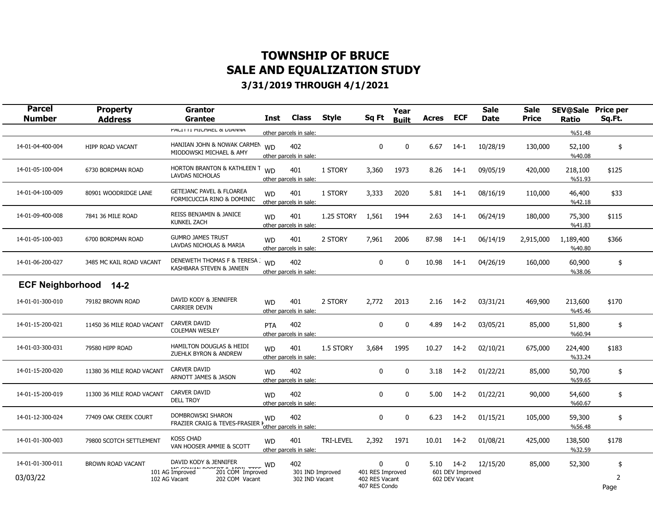| <b>Parcel</b><br><b>Number</b> | <b>Property</b><br><b>Address</b> | <b>Grantor</b><br><b>Grantee</b>                                        | <b>Class</b><br>Inst                       | <b>Style</b>     | Sq Ft                                               | Year<br><b>Built</b> | <b>Acres</b> | <b>ECF</b>                         | <b>Sale</b><br><b>Date</b> | <b>Sale</b><br><b>Price</b> | <b>SEV@Sale Price per</b><br><b>Ratio</b> | Sq.Ft.    |
|--------------------------------|-----------------------------------|-------------------------------------------------------------------------|--------------------------------------------|------------------|-----------------------------------------------------|----------------------|--------------|------------------------------------|----------------------------|-----------------------------|-------------------------------------------|-----------|
|                                |                                   | <b>PAULI III PILUTAEL &amp; DIAINNA</b>                                 | other parcels in sale:                     |                  |                                                     |                      |              |                                    |                            |                             | %51.48                                    |           |
| 14-01-04-400-004               | <b>HIPP ROAD VACANT</b>           | HANJIAN JOHN & NOWAK CARMEN<br>MIODOWSKI MICHAEL & AMY                  | 402<br><b>WD</b><br>other parcels in sale: |                  | $\mathbf 0$                                         | $\mathbf 0$          | 6.67         | $14-1$                             | 10/28/19                   | 130,000                     | 52,100<br>%40.08                          | \$        |
| 14-01-05-100-004               | 6730 BORDMAN ROAD                 | HORTON BRANTON & KATHLEEN T WD<br>LAVDAS NICHOLAS                       | 401<br>other parcels in sale:              | 1 STORY          | 3,360                                               | 1973                 | 8.26         | $14-1$                             | 09/05/19                   | 420,000                     | 218,100<br>%51.93                         | \$125     |
| 14-01-04-100-009               | 80901 WOODRIDGE LANE              | <b>GETEJANC PAVEL &amp; FLOAREA</b><br>FORMICUCCIA RINO & DOMINIC       | 401<br><b>WD</b><br>other parcels in sale: | 1 STORY          | 3,333                                               | 2020                 | 5.81         | $14-1$                             | 08/16/19                   | 110,000                     | 46,400<br>%42.18                          | \$33      |
| 14-01-09-400-008               | 7841 36 MILE ROAD                 | <b>REISS BENJAMIN &amp; JANICE</b><br><b>KUNKEL ZACH</b>                | 401<br><b>WD</b><br>other parcels in sale: | 1.25 STORY       | 1,561                                               | 1944                 | 2.63         | $14-1$                             | 06/24/19                   | 180,000                     | 75,300<br>%41.83                          | \$115     |
| 14-01-05-100-003               | 6700 BORDMAN ROAD                 | <b>GUMRO JAMES TRUST</b><br>LAVDAS NICHOLAS & MARIA                     | 401<br><b>WD</b><br>other parcels in sale: | 2 STORY          | 7,961                                               | 2006                 | 87.98        | $14-1$                             | 06/14/19                   | 2,915,000                   | 1,189,400<br>%40.80                       | \$366     |
| 14-01-06-200-027               | 3485 MC KAIL ROAD VACANT          | DENEWETH THOMAS F & TERESA<br>KASHBARA STEVEN & JANEEN                  | 402<br><b>WD</b><br>other parcels in sale: |                  | $\mathbf{0}$                                        | $\mathbf 0$          | 10.98        | 14-1                               | 04/26/19                   | 160,000                     | 60,900<br>%38.06                          | \$        |
| <b>ECF Neighborhood</b>        | $14-2$                            |                                                                         |                                            |                  |                                                     |                      |              |                                    |                            |                             |                                           |           |
| 14-01-01-300-010               | 79182 BROWN ROAD                  | DAVID KODY & JENNIFER<br><b>CARRIER DEVIN</b>                           | 401<br><b>WD</b><br>other parcels in sale: | 2 STORY          | 2,772                                               | 2013                 | 2.16         | $14-2$                             | 03/31/21                   | 469,900                     | 213,600<br>%45.46                         | \$170     |
| 14-01-15-200-021               | 11450 36 MILE ROAD VACANT         | CARVER DAVID<br><b>COLEMAN WESLEY</b>                                   | 402<br>PTA<br>other parcels in sale:       |                  | $\mathbf{0}$                                        | $\mathbf 0$          | 4.89         | $14-2$                             | 03/05/21                   | 85,000                      | 51,800<br>%60.94                          | \$        |
| 14-01-03-300-031               | 79580 HIPP ROAD                   | <b>HAMILTON DOUGLAS &amp; HEIDI</b><br><b>ZUEHLK BYRON &amp; ANDREW</b> | <b>WD</b><br>401<br>other parcels in sale: | 1.5 STORY        | 3,684                                               | 1995                 | 10.27        | $14-2$                             | 02/10/21                   | 675,000                     | 224,400<br>%33.24                         | \$183     |
| 14-01-15-200-020               | 11380 36 MILE ROAD VACANT         | <b>CARVER DAVID</b><br>ARNOTT JAMES & JASON                             | 402<br><b>WD</b><br>other parcels in sale: |                  | $\mathbf 0$                                         | 0                    | 3.18         | $14-2$                             | 01/22/21                   | 85,000                      | 50,700<br>%59.65                          | \$        |
| 14-01-15-200-019               | 11300 36 MILE ROAD VACANT         | <b>CARVER DAVID</b><br><b>DELL TROY</b>                                 | 402<br><b>WD</b><br>other parcels in sale: |                  | $\mathbf 0$                                         | 0                    | 5.00         | $14-2$                             | 01/22/21                   | 90,000                      | 54,600<br>%60.67                          | \$        |
| 14-01-12-300-024               | 77409 OAK CREEK COURT             | DOMBROWSKI SHARON<br>FRAZIER CRAIG & TEVES-FRASIER                      | 402<br><b>WD</b><br>other parcels in sale: |                  | $\mathbf 0$                                         | 0                    | 6.23         | $14-2$                             | 01/15/21                   | 105,000                     | 59,300<br>%56.48                          | \$        |
| 14-01-01-300-003               | 79800 SCOTCH SETTLEMENT           | <b>KOSS CHAD</b><br>VAN HOOSER AMMIE & SCOTT                            | 401<br><b>WD</b><br>other parcels in sale: | <b>TRI-LEVEL</b> | 2,392                                               | 1971                 | 10.01        | $14-2$                             | 01/08/21                   | 425,000                     | 138,500<br>%32.59                         | \$178     |
| 14-01-01-300-011               | BROWN ROAD VACANT                 | DAVID KODY & JENNIFER                                                   | 402<br><b>WD</b>                           |                  | $\Omega$                                            | $\Omega$             | 5.10         | $14-2$                             | 12/15/20                   | 85,000                      | 52,300                                    | \$        |
| 03/03/22                       |                                   | 101 AG Improved<br>201 COM Improved<br>102 AG Vacant<br>202 COM Vacant  | 302 IND Vacant                             | 301 IND Improved | 401 RES Improved<br>402 RES Vacant<br>407 RES Condo |                      |              | 601 DEV Improved<br>602 DEV Vacant |                            |                             |                                           | 2<br>Page |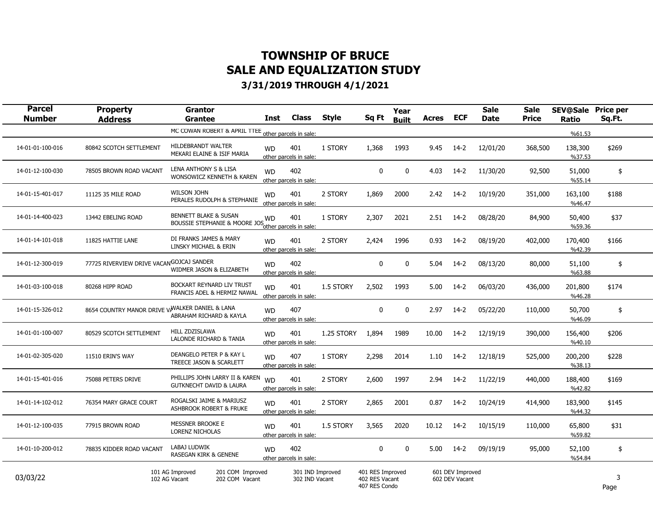| <b>Parcel</b><br><b>Number</b> | <b>Property</b><br><b>Address</b>               | Grantor<br><b>Grantee</b>                                              | Inst      | <b>Class</b>                       | <b>Style</b> | Sq Ft                                               | Year<br><b>Built</b> | <b>Acres</b> | <b>ECF</b>                         | <b>Sale</b><br><b>Date</b> | <b>Sale</b><br><b>Price</b> | <b>SEV@Sale</b><br>Ratio | <b>Price per</b><br>Sq.Ft. |
|--------------------------------|-------------------------------------------------|------------------------------------------------------------------------|-----------|------------------------------------|--------------|-----------------------------------------------------|----------------------|--------------|------------------------------------|----------------------------|-----------------------------|--------------------------|----------------------------|
|                                |                                                 | MC COWAN ROBERT & APRIL TIEE other parcels in sale:                    |           |                                    |              |                                                     |                      |              |                                    |                            |                             | %61.53                   |                            |
| 14-01-01-100-016               | 80842 SCOTCH SETTLEMENT                         | HILDEBRANDT WALTER<br>MEKARI ELAINE & ISIF MARIA                       | <b>WD</b> | 401<br>other parcels in sale:      | 1 STORY      | 1,368                                               | 1993                 | 9.45         | $14-2$                             | 12/01/20                   | 368,500                     | 138,300<br>%37.53        | \$269                      |
| 14-01-12-100-030               | 78505 BROWN ROAD VACANT                         | LENA ANTHONY S & LISA<br>WONSOWICZ KENNETH & KAREN                     | <b>WD</b> | 402<br>other parcels in sale:      |              | 0                                                   | $\Omega$             | 4.03         | $14-2$                             | 11/30/20                   | 92,500                      | 51,000<br>%55.14         | \$                         |
| 14-01-15-401-017               | 11125 35 MILE ROAD                              | <b>WILSON JOHN</b><br>PERALES RUDOLPH & STEPHANIE                      | <b>WD</b> | 401<br>other parcels in sale:      | 2 STORY      | 1,869                                               | 2000                 | 2.42         | $14-2$                             | 10/19/20                   | 351,000                     | 163,100<br>%46.47        | \$188                      |
| 14-01-14-400-023               | 13442 EBELING ROAD                              | <b>BENNETT BLAKE &amp; SUSAN</b><br>BOUSSIE STEPHANIE & MOORE JOS      | <b>WD</b> | 401                                | 1 STORY      | 2,307                                               | 2021                 | 2.51         | $14-2$                             | 08/28/20                   | 84,900                      | 50,400<br>%59.36         | \$37                       |
| 14-01-14-101-018               | 11825 HATTIE LANE                               | DI FRANKS JAMES & MARY<br>LINSKY MICHAEL & ERIN                        | <b>WD</b> | 401<br>other parcels in sale:      | 2 STORY      | 2,424                                               | 1996                 | 0.93         | $14-2$                             | 08/19/20                   | 402,000                     | 170,400<br>%42.39        | \$166                      |
| 14-01-12-300-019               | 77725 RIVERVIEW DRIVE VACANGOJCAJ SANDER        | WIDMER JASON & ELIZABETH                                               | <b>WD</b> | 402<br>other parcels in sale:      |              | 0                                                   | 0                    | 5.04         | $14-2$                             | 08/13/20                   | 80,000                      | 51,100<br>%63.88         | \$                         |
| 14-01-03-100-018               | 80268 HIPP ROAD                                 | BOCKART REYNARD LIV TRUST<br>FRANCIS ADEL & HERMIZ NAWAL               | <b>WD</b> | 401<br>other parcels in sale:      | 1.5 STORY    | 2,502                                               | 1993                 | 5.00         | $14-2$                             | 06/03/20                   | 436,000                     | 201,800<br>%46.28        | \$174                      |
| 14-01-15-326-012               | 8654 COUNTRY MANOR DRIVE VANALKER DANIEL & LANA | ABRAHAM RICHARD & KAYLA                                                | <b>WD</b> | 407<br>other parcels in sale:      |              | 0                                                   | 0                    | 2.97         | $14-2$                             | 05/22/20                   | 110,000                     | 50,700<br>%46.09         | \$                         |
| 14-01-01-100-007               | 80529 SCOTCH SETTLEMENT                         | HILL ZDZISLAWA<br>LALONDE RICHARD & TANIA                              | <b>WD</b> | 401<br>other parcels in sale:      | 1.25 STORY   | 1,894                                               | 1989                 | 10.00        | $14-2$                             | 12/19/19                   | 390,000                     | 156,400<br>%40.10        | \$206                      |
| 14-01-02-305-020               | 11510 ERIN'S WAY                                | DEANGELO PETER P & KAY L<br>TREECE JASON & SCARLETT                    | <b>WD</b> | 407<br>other parcels in sale:      | 1 STORY      | 2,298                                               | 2014                 | 1.10         | $14-2$                             | 12/18/19                   | 525,000                     | 200,200<br>%38.13        | \$228                      |
| 14-01-15-401-016               | 75088 PETERS DRIVE                              | PHILLIPS JOHN LARRY II & KAREN<br><b>GUTKNECHT DAVID &amp; LAURA</b>   | <b>WD</b> | 401<br>other parcels in sale:      | 2 STORY      | 2,600                                               | 1997                 | 2.94         | $14-2$                             | 11/22/19                   | 440,000                     | 188,400<br>%42.82        | \$169                      |
| 14-01-14-102-012               | 76354 MARY GRACE COURT                          | ROGALSKI JAIME & MARIUSZ<br>ASHBROOK ROBERT & FRUKE                    | <b>WD</b> | 401<br>other parcels in sale:      | 2 STORY      | 2,865                                               | 2001                 | 0.87         | $14-2$                             | 10/24/19                   | 414,900                     | 183,900<br>%44.32        | \$145                      |
| 14-01-12-100-035               | 77915 BROWN ROAD                                | MESSNER BROOKE E<br>LORENZ NICHOLAS                                    | <b>WD</b> | 401<br>other parcels in sale:      | 1.5 STORY    | 3,565                                               | 2020                 | 10.12        | $14-2$                             | 10/15/19                   | 110,000                     | 65,800<br>%59.82         | \$31                       |
| 14-01-10-200-012               | 78835 KIDDER ROAD VACANT                        | LABAJ LUDWIK<br><b>RASEGAN KIRK &amp; GENENE</b>                       | <b>WD</b> | 402<br>other parcels in sale:      |              | 0                                                   | $\mathbf 0$          | 5.00         | $14-2$                             | 09/19/19                   | 95,000                      | 52,100<br>%54.84         | \$                         |
| 03/03/22                       |                                                 | 101 AG Improved<br>201 COM Improved<br>102 AG Vacant<br>202 COM Vacant |           | 301 IND Improved<br>302 IND Vacant |              | 401 RES Improved<br>402 RES Vacant<br>407 RES Condo |                      |              | 601 DEV Improved<br>602 DEV Vacant |                            |                             |                          | 3<br>Page                  |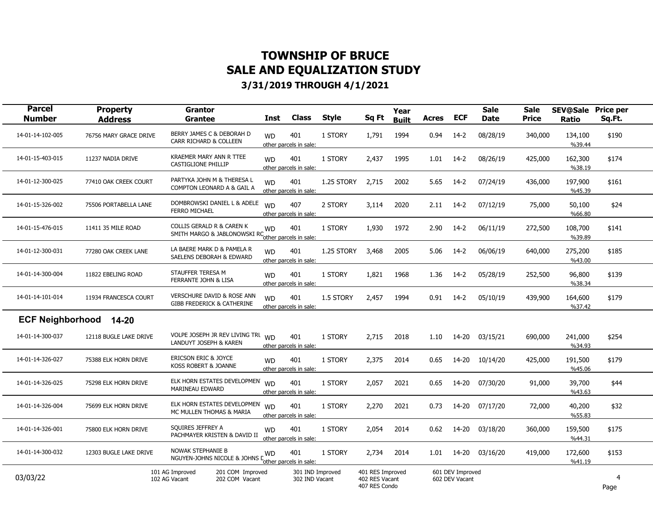| <b>Parcel</b><br><b>Number</b> | <b>Property</b><br><b>Address</b> | <b>Grantor</b><br>Grantee                                                       | <b>Inst</b> | <b>Class</b>                       | <b>Style</b> | Sq Ft                                               | Year<br><b>Built</b> | <b>Acres</b> | <b>ECF</b>                         | <b>Sale</b><br><b>Date</b> | <b>Sale</b><br>Price | <b>SEV@Sale</b><br>Ratio | <b>Price per</b><br>Sq.Ft. |  |
|--------------------------------|-----------------------------------|---------------------------------------------------------------------------------|-------------|------------------------------------|--------------|-----------------------------------------------------|----------------------|--------------|------------------------------------|----------------------------|----------------------|--------------------------|----------------------------|--|
| 14-01-14-102-005               | 76756 MARY GRACE DRIVE            | BERRY JAMES C & DEBORAH D<br>CARR RICHARD & COLLEEN                             | <b>WD</b>   | 401<br>other parcels in sale:      | 1 STORY      | 1,791                                               | 1994                 | 0.94         | $14-2$                             | 08/28/19                   | 340,000              | 134,100<br>%39.44        | \$190                      |  |
| 14-01-15-403-015               | 11237 NADIA DRIVE                 | <b>KRAEMER MARY ANN R TTEE</b><br>CASTIGLIONE PHILLIP                           | <b>WD</b>   | 401<br>other parcels in sale:      | 1 STORY      | 2,437                                               | 1995                 | 1.01         | $14-2$                             | 08/26/19                   | 425,000              | 162,300<br>%38.19        | \$174                      |  |
| 14-01-12-300-025               | 77410 OAK CREEK COURT             | PARTYKA JOHN M & THERESA L<br>COMPTON LEONARD A & GAIL A                        | <b>WD</b>   | 401<br>other parcels in sale:      | 1.25 STORY   | 2,715                                               | 2002                 | 5.65         | $14-2$                             | 07/24/19                   | 436,000              | 197,900<br>%45.39        | \$161                      |  |
| 14-01-15-326-002               | 75506 PORTABELLA LANE             | DOMBROWSKI DANIEL L & ADELE<br><b>FERRO MICHAEL</b>                             | <b>WD</b>   | 407<br>other parcels in sale:      | 2 STORY      | 3,114                                               | 2020                 | 2.11         | 14-2                               | 07/12/19                   | 75,000               | 50,100<br>%66.80         | \$24                       |  |
| 14-01-15-476-015               | 11411 35 MILE ROAD                | COLLIS GERALD R & CAREN K<br>SMITH MARGO & JABLONOWSKI RCother parcels in sale: | <b>WD</b>   | 401                                | 1 STORY      | 1,930                                               | 1972                 | 2.90         | $14-2$                             | 06/11/19                   | 272,500              | 108,700<br>%39.89        | \$141                      |  |
| 14-01-12-300-031               | 77280 OAK CREEK LANE              | LA BAERE MARK D & PAMELA R<br>SAELENS DEBORAH & EDWARD                          | <b>WD</b>   | 401<br>other parcels in sale:      | 1.25 STORY   | 3,468                                               | 2005                 | 5.06         | $14-2$                             | 06/06/19                   | 640,000              | 275,200<br>%43.00        | \$185                      |  |
| 14-01-14-300-004               | 11822 EBELING ROAD                | STAUFFER TERESA M<br>FERRANTE JOHN & LISA                                       | <b>WD</b>   | 401<br>other parcels in sale:      | 1 STORY      | 1,821                                               | 1968                 | 1.36         | $14-2$                             | 05/28/19                   | 252,500              | 96,800<br>%38.34         | \$139                      |  |
| 14-01-14-101-014               | 11934 FRANCESCA COURT             | <b>VERSCHURE DAVID &amp; ROSE ANN</b><br>GIBB FREDERICK & CATHERINE             | <b>WD</b>   | 401<br>other parcels in sale:      | 1.5 STORY    | 2,457                                               | 1994                 | 0.91         | 14-2                               | 05/10/19                   | 439,900              | 164,600<br>%37.42        | \$179                      |  |
| <b>ECF Neighborhood</b>        | $14 - 20$                         |                                                                                 |             |                                    |              |                                                     |                      |              |                                    |                            |                      |                          |                            |  |
| 14-01-14-300-037               | 12118 BUGLE LAKE DRIVE            | VOLPE JOSEPH JR REV LIVING TRU<br>LANDUYT JOSEPH & KAREN                        | <b>WD</b>   | 401<br>other parcels in sale:      | 1 STORY      | 2,715                                               | 2018                 | 1.10         | 14-20                              | 03/15/21                   | 690,000              | 241,000<br>%34.93        | \$254                      |  |
| 14-01-14-326-027               | 75388 ELK HORN DRIVE              | ERICSON ERIC & JOYCE<br>KOSS ROBERT & JOANNE                                    | <b>WD</b>   | 401<br>other parcels in sale:      | 1 STORY      | 2,375                                               | 2014                 | 0.65         | 14-20                              | 10/14/20                   | 425,000              | 191,500<br>%45.06        | \$179                      |  |
| 14-01-14-326-025               | 75298 ELK HORN DRIVE              | ELK HORN ESTATES DEVELOPMEN<br>MARINEAU EDWARD                                  | <b>WD</b>   | 401<br>other parcels in sale:      | 1 STORY      | 2,057                                               | 2021                 | 0.65         | 14-20                              | 07/30/20                   | 91,000               | 39,700<br>%43.63         | \$44                       |  |
| 14-01-14-326-004               | 75699 ELK HORN DRIVE              | ELK HORN ESTATES DEVELOPMEN<br>MC MULLEN THOMAS & MARIA                         | <b>WD</b>   | 401<br>other parcels in sale:      | 1 STORY      | 2,270                                               | 2021                 | 0.73         | 14-20                              | 07/17/20                   | 72,000               | 40,200<br>%55.83         | \$32                       |  |
| 14-01-14-326-001               | 75800 ELK HORN DRIVE              | SOUIRES JEFFREY A<br>PACHMAYER KRISTEN & DAVID II                               | <b>WD</b>   | 401<br>other parcels in sale:      | 1 STORY      | 2,054                                               | 2014                 | 0.62         | 14-20                              | 03/18/20                   | 360,000              | 159,500<br>%44.31        | \$175                      |  |
| 14-01-14-300-032               | 12303 BUGLE LAKE DRIVE            | <b>NOWAK STEPHANIE B</b><br>NGUYEN-JOHNS NICOLE & JOHNS Lotter parcels in sale: | <b>WD</b>   | 401                                | 1 STORY      | 2,734                                               | 2014                 | 1.01         | 14-20                              | 03/16/20                   | 419,000              | 172,600<br>%41.19        | \$153                      |  |
| 03/03/22                       |                                   | 101 AG Improved<br>201 COM Improved<br>102 AG Vacant<br>202 COM Vacant          |             | 301 IND Improved<br>302 IND Vacant |              | 401 RES Improved<br>402 RES Vacant<br>407 RES Condo |                      |              | 601 DEV Improved<br>602 DEV Vacant |                            |                      |                          | 4<br>Page                  |  |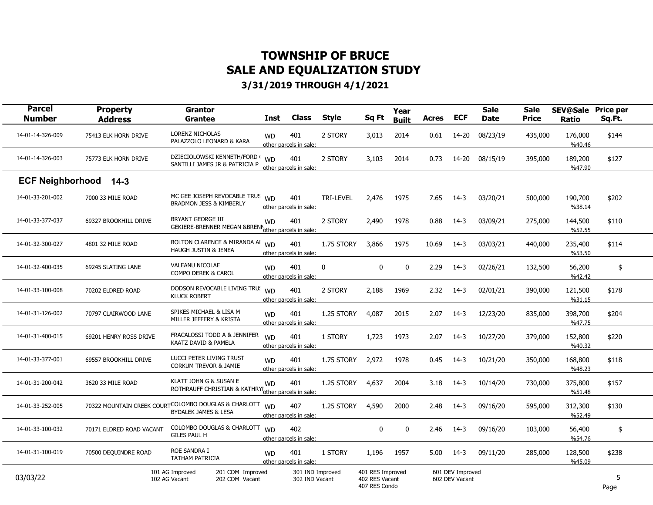| <b>Parcel</b><br><b>Number</b> | <b>Property</b><br><b>Address</b> | <b>Grantor</b><br><b>Grantee</b>                                                         | Inst      | <b>Class</b>                       | <b>Style</b>     | Sq Ft                                               | Year<br><b>Built</b> | <b>Acres</b> | <b>ECF</b>                         | <b>Sale</b><br><b>Date</b> | <b>Sale</b><br><b>Price</b> | <b>SEV@Sale</b><br>Ratio | <b>Price per</b><br>Sq.Ft. |  |
|--------------------------------|-----------------------------------|------------------------------------------------------------------------------------------|-----------|------------------------------------|------------------|-----------------------------------------------------|----------------------|--------------|------------------------------------|----------------------------|-----------------------------|--------------------------|----------------------------|--|
| 14-01-14-326-009               | 75413 ELK HORN DRIVE              | LORENZ NICHOLAS<br>PALAZZOLO LEONARD & KARA                                              | <b>WD</b> | 401<br>other parcels in sale:      | 2 STORY          | 3,013                                               | 2014                 | 0.61         | 14-20                              | 08/23/19                   | 435,000                     | 176,000<br>%40.46        | \$144                      |  |
| 14-01-14-326-003               | 75773 ELK HORN DRIVE              | DZIECIOLOWSKI KENNETH/FORD (<br>SANTILLI JAMES JR & PATRICIA P                           | <b>WD</b> | 401<br>other parcels in sale:      | 2 STORY          | 3,103                                               | 2014                 | 0.73         | 14-20                              | 08/15/19                   | 395,000                     | 189,200<br>%47.90        | \$127                      |  |
| <b>ECF Neighborhood</b>        | $14-3$                            |                                                                                          |           |                                    |                  |                                                     |                      |              |                                    |                            |                             |                          |                            |  |
| 14-01-33-201-002               | 7000 33 MILE ROAD                 | MC GEE JOSEPH REVOCABLE TRUS<br>BRADMON JESS & KIMBERLY                                  | <b>WD</b> | 401<br>other parcels in sale:      | <b>TRI-LEVEL</b> | 2,476                                               | 1975                 | 7.65         | $14-3$                             | 03/20/21                   | 500,000                     | 190,700<br>%38.14        | \$202                      |  |
| 14-01-33-377-037               | 69327 BROOKHILL DRIVE             | <b>BRYANT GEORGE III</b><br>GEKIERE-BRENNER MEGAN &BRENN                                 | <b>WD</b> | 401<br>other parcels in sale:      | 2 STORY          | 2,490                                               | 1978                 | 0.88         | 14-3                               | 03/09/21                   | 275,000                     | 144,500<br>%52.55        | \$110                      |  |
| 14-01-32-300-027               | 4801 32 MILE ROAD                 | BOLTON CLARENCE & MIRANDA AI WD<br>HAUGH JUSTIN & JENEA                                  |           | 401<br>other parcels in sale:      | 1.75 STORY       | 3,866                                               | 1975                 | 10.69        | $14-3$                             | 03/03/21                   | 440,000                     | 235,400<br>%53.50        | \$114                      |  |
| 14-01-32-400-035               | 69245 SLATING LANE                | <b>VALEANU NICOLAE</b><br>COMPO DEREK & CAROL                                            | <b>WD</b> | 401<br>other parcels in sale:      | 0                | 0                                                   | 0                    | 2.29         | $14-3$                             | 02/26/21                   | 132,500                     | 56,200<br>%42.42         | \$                         |  |
| 14-01-33-100-008               | 70202 ELDRED ROAD                 | DODSON REVOCABLE LIVING TRU!<br><b>KLUCK ROBERT</b>                                      | <b>WD</b> | 401<br>other parcels in sale:      | 2 STORY          | 2,188                                               | 1969                 | 2.32         | 14-3                               | 02/01/21                   | 390,000                     | 121,500<br>%31.15        | \$178                      |  |
| 14-01-31-126-002               | 70797 CLAIRWOOD LANE              | SPIKES MICHAEL & LISA M<br>MILLER JEFFERY & KRISTA                                       | <b>WD</b> | 401<br>other parcels in sale:      | 1.25 STORY       | 4,087                                               | 2015                 | 2.07         | $14-3$                             | 12/23/20                   | 835,000                     | 398,700<br>%47.75        | \$204                      |  |
| 14-01-31-400-015               | 69201 HENRY ROSS DRIVE            | FRACALOSSI TODD A & JENNIFER<br>KAATZ DAVID & PAMELA                                     | <b>WD</b> | 401<br>other parcels in sale:      | 1 STORY          | 1,723                                               | 1973                 | 2.07         | $14-3$                             | 10/27/20                   | 379,000                     | 152,800<br>%40.32        | \$220                      |  |
| 14-01-33-377-001               | 69557 BROOKHILL DRIVE             | LUCCI PETER LIVING TRUST<br>CORKUM TREVOR & JAMIE                                        | <b>WD</b> | 401<br>other parcels in sale:      | 1.75 STORY       | 2,972                                               | 1978                 | 0.45         | 14-3                               | 10/21/20                   | 350,000                     | 168,800<br>%48.23        | \$118                      |  |
| 14-01-31-200-042               | 3620 33 MILE ROAD                 | KLATT JOHN G & SUSAN E<br>ROTHRAUFF CHRISTIAN & KATHRYI there parcels in sale:           | <b>WD</b> | 401                                | 1.25 STORY       | 4,637                                               | 2004                 | 3.18         | 14-3                               | 10/14/20                   | 730,000                     | 375,800<br>%51.48        | \$157                      |  |
| 14-01-33-252-005               |                                   | 70322 MOUNTAIN CREEK COURT COLOMBO DOUGLAS & CHARLOTT<br><b>BYDALEK JAMES &amp; LESA</b> | <b>WD</b> | 407<br>other parcels in sale:      | 1.25 STORY       | 4,590                                               | 2000                 | 2.48         | $14-3$                             | 09/16/20                   | 595,000                     | 312,300<br>%52.49        | \$130                      |  |
| 14-01-33-100-032               | 70171 ELDRED ROAD VACANT          | COLOMBO DOUGLAS & CHARLOTT<br><b>GILES PAUL H</b>                                        | <b>WD</b> | 402<br>other parcels in sale:      |                  | 0                                                   | 0                    | 2.46         | 14-3                               | 09/16/20                   | 103,000                     | 56,400<br>%54.76         | \$                         |  |
| 14-01-31-100-019               | 70500 DEQUINDRE ROAD              | ROE SANDRA I<br><b>TATHAM PATRICIA</b>                                                   | <b>WD</b> | 401<br>other parcels in sale:      | 1 STORY          | 1,196                                               | 1957                 | 5.00         | $14-3$                             | 09/11/20                   | 285,000                     | 128,500<br>%45.09        | \$238                      |  |
| 03/03/22                       |                                   | 101 AG Improved<br>201 COM Improved<br>102 AG Vacant<br>202 COM Vacant                   |           | 301 IND Improved<br>302 IND Vacant |                  | 401 RES Improved<br>402 RES Vacant<br>407 RES Condo |                      |              | 601 DEV Improved<br>602 DEV Vacant |                            |                             |                          | 5<br>Page                  |  |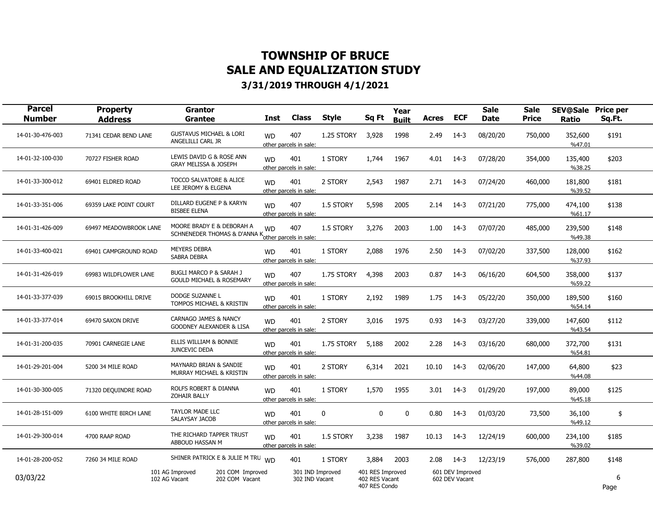| <b>Parcel</b><br><b>Number</b> | <b>Property</b><br><b>Address</b> | <b>Grantor</b><br><b>Grantee</b>                                                | <b>Inst</b> | <b>Class</b>                       | <b>Style</b> | Sq Ft                                               | Year<br><b>Built</b> | Acres | <b>ECF</b>                         | <b>Sale</b><br><b>Date</b> | <b>Sale</b><br><b>Price</b> | <b>SEV@Sale</b><br>Ratio | <b>Price per</b><br>Sq.Ft. |  |
|--------------------------------|-----------------------------------|---------------------------------------------------------------------------------|-------------|------------------------------------|--------------|-----------------------------------------------------|----------------------|-------|------------------------------------|----------------------------|-----------------------------|--------------------------|----------------------------|--|
| 14-01-30-476-003               | 71341 CEDAR BEND LANE             | <b>GUSTAVUS MICHAEL &amp; LORI</b><br>ANGELILLI CARL JR                         | <b>WD</b>   | 407<br>other parcels in sale:      | 1.25 STORY   | 3,928                                               | 1998                 | 2.49  | $14-3$                             | 08/20/20                   | 750,000                     | 352,600<br>%47.01        | \$191                      |  |
| 14-01-32-100-030               | 70727 FISHER ROAD                 | LEWIS DAVID G & ROSE ANN<br>GRAY MELISSA & JOSEPH                               | <b>WD</b>   | 401<br>other parcels in sale:      | 1 STORY      | 1,744                                               | 1967                 | 4.01  | $14-3$                             | 07/28/20                   | 354,000                     | 135,400<br>%38.25        | \$203                      |  |
| 14-01-33-300-012               | 69401 ELDRED ROAD                 | <b>TOCCO SALVATORE &amp; ALICE</b><br>LEE JEROMY & ELGENA                       | <b>WD</b>   | 401<br>other parcels in sale:      | 2 STORY      | 2,543                                               | 1987                 | 2.71  | 14-3                               | 07/24/20                   | 460,000                     | 181,800<br>%39.52        | \$181                      |  |
| 14-01-33-351-006               | 69359 LAKE POINT COURT            | DILLARD EUGENE P & KARYN<br><b>BISBEE ELENA</b>                                 | <b>WD</b>   | 407<br>other parcels in sale:      | 1.5 STORY    | 5,598                                               | 2005                 | 2.14  | $14-3$                             | 07/21/20                   | 775,000                     | 474,100<br>%61.17        | \$138                      |  |
| 14-01-31-426-009               | 69497 MEADOWBROOK LANE            | MOORE BRADY E & DEBORAH A<br>SCHNENEDER THOMAS & D'ANNA Kother parcels in sale: | <b>WD</b>   | 407                                | 1.5 STORY    | 3,276                                               | 2003                 | 1.00  | 14-3                               | 07/07/20                   | 485,000                     | 239,500<br>%49.38        | \$148                      |  |
| 14-01-33-400-021               | 69401 CAMPGROUND ROAD             | <b>MEYERS DEBRA</b><br><b>SABRA DEBRA</b>                                       | <b>WD</b>   | 401<br>other parcels in sale:      | 1 STORY      | 2,088                                               | 1976                 | 2.50  | $14-3$                             | 07/02/20                   | 337,500                     | 128,000<br>%37.93        | \$162                      |  |
| 14-01-31-426-019               | 69983 WILDFLOWER LANE             | <b>BUGLI MARCO P &amp; SARAH J</b><br><b>GOULD MICHAEL &amp; ROSEMARY</b>       | <b>WD</b>   | 407<br>other parcels in sale:      | 1.75 STORY   | 4,398                                               | 2003                 | 0.87  | $14-3$                             | 06/16/20                   | 604,500                     | 358,000<br>%59.22        | \$137                      |  |
| 14-01-33-377-039               | 69015 BROOKHILL DRIVE             | DODGE SUZANNE L<br>TOMPOS MICHAEL & KRISTIN                                     | <b>WD</b>   | 401<br>other parcels in sale:      | 1 STORY      | 2,192                                               | 1989                 | 1.75  | $14-3$                             | 05/22/20                   | 350,000                     | 189,500<br>%54.14        | \$160                      |  |
| 14-01-33-377-014               | 69470 SAXON DRIVE                 | CARNAGO JAMES & NANCY<br>GOODNEY ALEXANDER & LISA                               | <b>WD</b>   | 401<br>other parcels in sale:      | 2 STORY      | 3,016                                               | 1975                 | 0.93  | $14-3$                             | 03/27/20                   | 339,000                     | 147,600<br>%43.54        | \$112                      |  |
| 14-01-31-200-035               | 70901 CARNEGIE LANE               | ELLIS WILLIAM & BONNIE<br><b>JUNCEVIC DEDA</b>                                  | <b>WD</b>   | 401<br>other parcels in sale:      | 1.75 STORY   | 5.188                                               | 2002                 | 2.28  | $14-3$                             | 03/16/20                   | 680,000                     | 372,700<br>%54.81        | \$131                      |  |
| 14-01-29-201-004               | 5200 34 MILE ROAD                 | <b>MAYNARD BRIAN &amp; SANDIE</b><br>MURRAY MICHAEL & KRISTIN                   | <b>WD</b>   | 401<br>other parcels in sale:      | 2 STORY      | 6,314                                               | 2021                 | 10.10 | $14-3$                             | 02/06/20                   | 147,000                     | 64,800<br>%44.08         | \$23                       |  |
| 14-01-30-300-005               | 71320 DEQUINDRE ROAD              | ROLFS ROBERT & DIANNA<br><b>ZOHAIR BALLY</b>                                    | <b>WD</b>   | 401<br>other parcels in sale:      | 1 STORY      | 1,570                                               | 1955                 | 3.01  | $14-3$                             | 01/29/20                   | 197,000                     | 89,000<br>%45.18         | \$125                      |  |
| 14-01-28-151-009               | 6100 WHITE BIRCH LANE             | <b>TAYLOR MADE LLC</b><br>SALAYSAY JACOB                                        | <b>WD</b>   | 401<br>other parcels in sale:      | 0            | $\Omega$                                            | $\mathbf 0$          | 0.80  | $14-3$                             | 01/03/20                   | 73,500                      | 36,100<br>%49.12         | \$                         |  |
| 14-01-29-300-014               | 4700 RAAP ROAD                    | THE RICHARD TAPPER TRUST<br>ABBOUD HASSAN M                                     | <b>WD</b>   | 401<br>other parcels in sale:      | 1.5 STORY    | 3,238                                               | 1987                 | 10.13 | $14-3$                             | 12/24/19                   | 600,000                     | 234,100<br>%39.02        | \$185                      |  |
| 14-01-28-200-052               | 7260 34 MILE ROAD                 | SHINER PATRICK E & JULIE M TRU WD                                               |             | 401                                | 1 STORY      | 3,884                                               | 2003                 | 2.08  | $14-3$                             | 12/23/19                   | 576,000                     | 287,800                  | \$148                      |  |
| 03/03/22                       |                                   | 101 AG Improved<br>201 COM Improved<br>102 AG Vacant<br>202 COM Vacant          |             | 301 IND Improved<br>302 IND Vacant |              | 401 RES Improved<br>402 RES Vacant<br>407 RES Condo |                      |       | 601 DEV Improved<br>602 DEV Vacant |                            |                             |                          | 6<br>Page                  |  |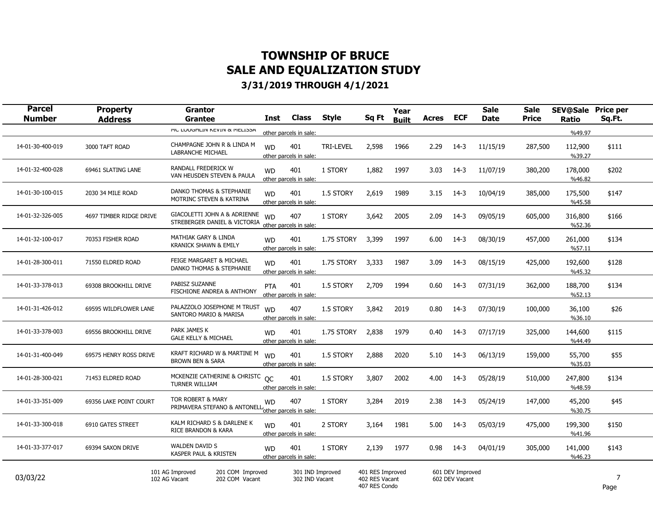| <b>Parcel</b><br><b>Number</b> | <b>Property</b><br><b>Address</b> | <b>Grantor</b><br>Grantee                                              | Inst      | Class                              | Style            | Sq Ft                                               | Year<br><b>Built</b> | Acres | <b>ECF</b>                         | <b>Sale</b><br><b>Date</b> | <b>Sale</b><br>Price | <b>SEV@Sale</b><br>Ratio | <b>Price per</b><br>Sq.Ft. |  |
|--------------------------------|-----------------------------------|------------------------------------------------------------------------|-----------|------------------------------------|------------------|-----------------------------------------------------|----------------------|-------|------------------------------------|----------------------------|----------------------|--------------------------|----------------------------|--|
|                                |                                   | I'IL LUUGNLIIN NEVIIN & I'IELIJJA                                      |           | other parcels in sale:             |                  |                                                     |                      |       |                                    |                            |                      | %49.97                   |                            |  |
| 14-01-30-400-019               | 3000 TAFT ROAD                    | CHAMPAGNE JOHN R & LINDA M<br>LABRANCHE MICHAEL                        | <b>WD</b> | 401<br>other parcels in sale:      | <b>TRI-LEVEL</b> | 2,598                                               | 1966                 | 2.29  | $14-3$                             | 11/15/19                   | 287,500              | 112,900<br>%39.27        | \$111                      |  |
| 14-01-32-400-028               | 69461 SLATING LANE                | RANDALL FREDERICK W<br>VAN HEUSDEN STEVEN & PAULA                      | <b>WD</b> | 401<br>other parcels in sale:      | 1 STORY          | 1,882                                               | 1997                 | 3.03  | $14-3$                             | 11/07/19                   | 380,200              | 178,000<br>%46.82        | \$202                      |  |
| 14-01-30-100-015               | 2030 34 MILE ROAD                 | DANKO THOMAS & STEPHANIE<br>MOTRINC STEVEN & KATRINA                   | <b>WD</b> | 401<br>other parcels in sale:      | 1.5 STORY        | 2,619                                               | 1989                 | 3.15  | $14-3$                             | 10/04/19                   | 385,000              | 175,500<br>%45.58        | \$147                      |  |
| 14-01-32-326-005               | 4697 TIMBER RIDGE DRIVE           | GIACOLETTI JOHN A & ADRIENNE<br>STREBERGER DANIEL & VICTORIA           | <b>WD</b> | 407<br>other parcels in sale:      | 1 STORY          | 3,642                                               | 2005                 | 2.09  | $14-3$                             | 09/05/19                   | 605,000              | 316,800<br>%52.36        | \$166                      |  |
| 14-01-32-100-017               | 70353 FISHER ROAD                 | <b>MATHIAK GARY &amp; LINDA</b><br>KRANICK SHAWN & EMILY               | <b>WD</b> | 401<br>other parcels in sale:      | 1.75 STORY       | 3,399                                               | 1997                 | 6.00  | $14-3$                             | 08/30/19                   | 457,000              | 261,000<br>%57.11        | \$134                      |  |
| 14-01-28-300-011               | 71550 ELDRED ROAD                 | FEIGE MARGARET & MICHAEL<br>DANKO THOMAS & STEPHANIE                   | <b>WD</b> | 401<br>other parcels in sale:      | 1.75 STORY       | 3,333                                               | 1987                 | 3.09  | $14-3$                             | 08/15/19                   | 425,000              | 192,600<br>%45.32        | \$128                      |  |
| 14-01-33-378-013               | 69308 BROOKHILL DRIVE             | PABISZ SUZANNE<br>FISCHIONE ANDREA & ANTHONY                           | PTA       | 401<br>other parcels in sale:      | 1.5 STORY        | 2,709                                               | 1994                 | 0.60  | $14-3$                             | 07/31/19                   | 362,000              | 188,700<br>%52.13        | \$134                      |  |
| 14-01-31-426-012               | 69595 WILDFLOWER LANE             | PALAZZOLO JOSEPHONE M TRUST<br>SANTORO MARIO & MARISA                  | <b>WD</b> | 407<br>other parcels in sale:      | 1.5 STORY        | 3,842                                               | 2019                 | 0.80  | 14-3                               | 07/30/19                   | 100,000              | 36,100<br>%36.10         | \$26                       |  |
| 14-01-33-378-003               | 69556 BROOKHILL DRIVE             | PARK JAMES K<br><b>GALE KELLY &amp; MICHAEL</b>                        | <b>WD</b> | 401<br>other parcels in sale:      | 1.75 STORY       | 2,838                                               | 1979                 | 0.40  | $14-3$                             | 07/17/19                   | 325,000              | 144,600<br>%44.49        | \$115                      |  |
| 14-01-31-400-049               | 69575 HENRY ROSS DRIVE            | KRAFT RICHARD W & MARTINE M<br><b>BROWN BEN &amp; SARA</b>             | <b>WD</b> | 401<br>other parcels in sale:      | 1.5 STORY        | 2,888                                               | 2020                 | 5.10  | $14-3$                             | 06/13/19                   | 159,000              | 55,700<br>%35.03         | \$55                       |  |
| 14-01-28-300-021               | 71453 ELDRED ROAD                 | MCKENZIE CATHERINE & CHRISTC OC<br><b>TURNER WILLIAM</b>               |           | 401<br>other parcels in sale:      | 1.5 STORY        | 3,807                                               | 2002                 | 4.00  | 14-3                               | 05/28/19                   | 510,000              | 247,800<br>%48.59        | \$134                      |  |
| 14-01-33-351-009               | 69356 LAKE POINT COURT            | TOR ROBERT & MARY<br>PRIMAVERA STEFANO & ANTONELL                      | <b>WD</b> | 407<br>other parcels in sale:      | 1 STORY          | 3,284                                               | 2019                 | 2.38  | $14-3$                             | 05/24/19                   | 147,000              | 45,200<br>%30.75         | \$45                       |  |
| 14-01-33-300-018               | 6910 GATES STREET                 | KALM RICHARD S & DARLENE K<br>RICE BRANDON & KARA                      | <b>WD</b> | 401<br>other parcels in sale:      | 2 STORY          | 3,164                                               | 1981                 | 5.00  | $14-3$                             | 05/03/19                   | 475,000              | 199,300<br>%41.96        | \$150                      |  |
| 14-01-33-377-017               | 69394 SAXON DRIVE                 | <b>WALDEN DAVID S</b><br>KASPER PAUL & KRISTEN                         | <b>WD</b> | 401<br>other parcels in sale:      | 1 STORY          | 2,139                                               | 1977                 | 0.98  | $14-3$                             | 04/01/19                   | 305,000              | 141,000<br>%46.23        | \$143                      |  |
| 03/03/22                       |                                   | 101 AG Improved<br>201 COM Improved<br>102 AG Vacant<br>202 COM Vacant |           | 301 IND Improved<br>302 IND Vacant |                  | 401 RES Improved<br>402 RES Vacant<br>407 RES Condo |                      |       | 601 DEV Improved<br>602 DEV Vacant |                            |                      |                          | 7<br>Page                  |  |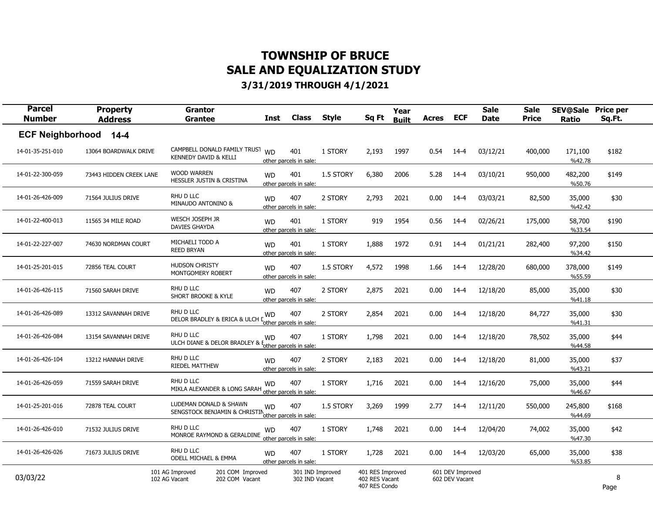| <b>Parcel</b><br><b>Number</b> | <b>Property</b><br><b>Address</b> | <b>Grantor</b><br><b>Grantee</b>                                               | Inst      | <b>Class</b>                       | <b>Style</b> | Sq Ft                                               | Year<br><b>Built</b> | Acres | <b>ECF</b>                         | <b>Sale</b><br><b>Date</b> | <b>Sale</b><br>Price | <b>SEV@Sale</b><br>Ratio | <b>Price per</b><br>Sq.Ft. |  |
|--------------------------------|-----------------------------------|--------------------------------------------------------------------------------|-----------|------------------------------------|--------------|-----------------------------------------------------|----------------------|-------|------------------------------------|----------------------------|----------------------|--------------------------|----------------------------|--|
| <b>ECF Neighborhood</b>        | $14 - 4$                          |                                                                                |           |                                    |              |                                                     |                      |       |                                    |                            |                      |                          |                            |  |
| 14-01-35-251-010               | 13064 BOARDWALK DRIVE             | CAMPBELL DONALD FAMILY TRUST<br>KENNEDY DAVID & KELLI                          | <b>WD</b> | 401<br>other parcels in sale:      | 1 STORY      | 2,193                                               | 1997                 | 0.54  | 14-4                               | 03/12/21                   | 400,000              | 171,100<br>%42.78        | \$182                      |  |
| 14-01-22-300-059               | 73443 HIDDEN CREEK LANE           | <b>WOOD WARREN</b><br>HESSLER JUSTIN & CRISTINA                                | <b>WD</b> | 401<br>other parcels in sale:      | 1.5 STORY    | 6,380                                               | 2006                 | 5.28  | 14-4                               | 03/10/21                   | 950,000              | 482,200<br>%50.76        | \$149                      |  |
| 14-01-26-426-009               | 71564 JULIUS DRIVE                | RHU D LLC<br>MINAUDO ANTONINO &                                                | <b>WD</b> | 407<br>other parcels in sale:      | 2 STORY      | 2,793                                               | 2021                 | 0.00  | 14-4                               | 03/03/21                   | 82,500               | 35,000<br>%42.42         | \$30                       |  |
| 14-01-22-400-013               | 11565 34 MILE ROAD                | WESCH JOSEPH JR<br>DAVIES GHAYDA                                               | <b>WD</b> | 401<br>other parcels in sale:      | 1 STORY      | 919                                                 | 1954                 | 0.56  | $14 - 4$                           | 02/26/21                   | 175,000              | 58,700<br>%33.54         | \$190                      |  |
| 14-01-22-227-007               | 74630 NORDMAN COURT               | MICHAELI TODD A<br><b>REED BRYAN</b>                                           | <b>WD</b> | 401<br>other parcels in sale:      | 1 STORY      | 1,888                                               | 1972                 | 0.91  | 14-4                               | 01/21/21                   | 282,400              | 97,200<br>%34.42         | \$150                      |  |
| 14-01-25-201-015               | 72856 TEAL COURT                  | <b>HUDSON CHRISTY</b><br>MONTGOMERY ROBERT                                     | <b>WD</b> | 407<br>other parcels in sale:      | 1.5 STORY    | 4,572                                               | 1998                 | 1.66  | 14-4                               | 12/28/20                   | 680,000              | 378,000<br>%55.59        | \$149                      |  |
| 14-01-26-426-115               | 71560 SARAH DRIVE                 | RHU D LLC<br>SHORT BROOKE & KYLE                                               | <b>WD</b> | 407<br>other parcels in sale:      | 2 STORY      | 2,875                                               | 2021                 | 0.00  | 14-4                               | 12/18/20                   | 85,000               | 35,000<br>%41.18         | \$30                       |  |
| 14-01-26-426-089               | 13312 SAVANNAH DRIVE              | RHU D LLC<br>DELOR BRADLEY & ERICA & ULCH                                      | <b>WD</b> | 407<br>other parcels in sale:      | 2 STORY      | 2,854                                               | 2021                 | 0.00  | $14 - 4$                           | 12/18/20                   | 84,727               | 35,000<br>%41.31         | \$30                       |  |
| 14-01-26-426-084               | 13154 SAVANNAH DRIVE              | RHU D LLC<br>ULCH DIANE & DELOR BRADLEY &                                      | <b>WD</b> | 407<br>other parcels in sale:      | 1 STORY      | 1,798                                               | 2021                 | 0.00  | $14 - 4$                           | 12/18/20                   | 78,502               | 35,000<br>%44.58         | \$44                       |  |
| 14-01-26-426-104               | 13212 HANNAH DRIVE                | RHU D LLC<br><b>RIEDEL MATTHEW</b>                                             | <b>WD</b> | 407<br>other parcels in sale:      | 2 STORY      | 2,183                                               | 2021                 | 0.00  | $14 - 4$                           | 12/18/20                   | 81,000               | 35,000<br>%43.21         | \$37                       |  |
| 14-01-26-426-059               | 71559 SARAH DRIVE                 | RHU D LLC<br>MIKLA ALEXANDER & LONG SARAH                                      | <b>WD</b> | 407<br>other parcels in sale:      | 1 STORY      | 1,716                                               | 2021                 | 0.00  | 14-4                               | 12/16/20                   | 75,000               | 35,000<br>%46.67         | \$44                       |  |
| 14-01-25-201-016               | 72878 TEAL COURT                  | LUDEMAN DONALD & SHAWN<br>SENGSTOCK BENJAMIN & CHRISTIN other parcels in sale: | <b>WD</b> | 407                                | 1.5 STORY    | 3,269                                               | 1999                 | 2.77  | $14 - 4$                           | 12/11/20                   | 550,000              | 245,800<br>%44.69        | \$168                      |  |
| 14-01-26-426-010               | 71532 JULIUS DRIVE                | RHU D LLC<br>MONROE RAYMOND & GERALDINE                                        | <b>WD</b> | 407<br>other parcels in sale:      | 1 STORY      | 1,748                                               | 2021                 | 0.00  | 14-4                               | 12/04/20                   | 74,002               | 35,000<br>%47.30         | \$42                       |  |
| 14-01-26-426-026               | 71673 JULIUS DRIVE                | RHU D LLC<br><b>ODELL MICHAEL &amp; EMMA</b>                                   | <b>WD</b> | 407<br>other parcels in sale:      | 1 STORY      | 1,728                                               | 2021                 | 0.00  | 14-4                               | 12/03/20                   | 65,000               | 35,000<br>%53.85         | \$38                       |  |
| 03/03/22                       |                                   | 101 AG Improved<br>201 COM Improved<br>102 AG Vacant<br>202 COM Vacant         |           | 301 IND Improved<br>302 IND Vacant |              | 401 RES Improved<br>402 RES Vacant<br>407 RES Condo |                      |       | 601 DEV Improved<br>602 DEV Vacant |                            |                      |                          | 8<br>Page                  |  |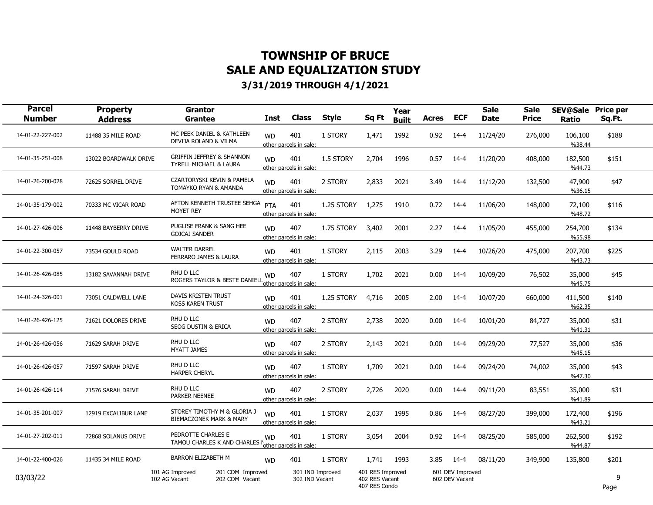| <b>Parcel</b><br><b>Number</b> | <b>Property</b><br><b>Address</b> | <b>Grantor</b><br><b>Grantee</b>                                       | Inst      | <b>Class</b>                       | <b>Style</b> | Sq Ft                                               | Year<br><b>Built</b> | Acres | <b>ECF</b>                         | <b>Sale</b><br><b>Date</b> | <b>Sale</b><br><b>Price</b> | <b>SEV@Sale</b><br>Ratio | <b>Price per</b><br>Sq.Ft. |  |
|--------------------------------|-----------------------------------|------------------------------------------------------------------------|-----------|------------------------------------|--------------|-----------------------------------------------------|----------------------|-------|------------------------------------|----------------------------|-----------------------------|--------------------------|----------------------------|--|
| 14-01-22-227-002               | 11488 35 MILE ROAD                | MC PEEK DANIEL & KATHLEEN<br>DEVIJA ROLAND & VILMA                     | <b>WD</b> | 401<br>other parcels in sale:      | 1 STORY      | 1,471                                               | 1992                 | 0.92  | $14 - 4$                           | 11/24/20                   | 276,000                     | 106,100<br>%38.44        | \$188                      |  |
| 14-01-35-251-008               | 13022 BOARDWALK DRIVE             | <b>GRIFFIN JEFFREY &amp; SHANNON</b><br>TYRELL MICHAEL & LAURA         | <b>WD</b> | 401<br>other parcels in sale:      | 1.5 STORY    | 2,704                                               | 1996                 | 0.57  | $14 - 4$                           | 11/20/20                   | 408,000                     | 182,500<br>%44.73        | \$151                      |  |
| 14-01-26-200-028               | 72625 SORREL DRIVE                | CZARTORYSKI KEVIN & PAMELA<br>TOMAYKO RYAN & AMANDA                    | <b>WD</b> | 401<br>other parcels in sale:      | 2 STORY      | 2,833                                               | 2021                 | 3.49  | $14 - 4$                           | 11/12/20                   | 132,500                     | 47,900<br>%36.15         | \$47                       |  |
| 14-01-35-179-002               | 70333 MC VICAR ROAD               | AFTON KENNETH TRUSTEE SEHGA<br><b>MOYET REY</b>                        | PTA       | 401<br>other parcels in sale:      | 1.25 STORY   | 1,275                                               | 1910                 | 0.72  | 14-4                               | 11/06/20                   | 148,000                     | 72,100<br>%48.72         | \$116                      |  |
| 14-01-27-426-006               | 11448 BAYBERRY DRIVE              | PUGLISE FRANK & SANG HEE<br><b>GOJCAJ SANDER</b>                       | <b>WD</b> | 407<br>other parcels in sale:      | 1.75 STORY   | 3,402                                               | 2001                 | 2.27  | 14-4                               | 11/05/20                   | 455,000                     | 254,700<br>%55.98        | \$134                      |  |
| 14-01-22-300-057               | 73534 GOULD ROAD                  | <b>WALTER DARREL</b><br>FERRARO JAMES & LAURA                          | <b>WD</b> | 401<br>other parcels in sale:      | 1 STORY      | 2,115                                               | 2003                 | 3.29  | 14-4                               | 10/26/20                   | 475,000                     | 207,700<br>%43.73        | \$225                      |  |
| 14-01-26-426-085               | 13182 SAVANNAH DRIVE              | RHU D LLC<br>ROGERS TAYLOR & BESTE DANIELL                             | <b>WD</b> | 407<br>other parcels in sale:      | 1 STORY      | 1,702                                               | 2021                 | 0.00  | $14 - 4$                           | 10/09/20                   | 76,502                      | 35,000<br>%45.75         | \$45                       |  |
| 14-01-24-326-001               | 73051 CALDWELL LANE               | DAVIS KRISTEN TRUST<br><b>KOSS KAREN TRUST</b>                         | <b>WD</b> | 401<br>other parcels in sale:      | 1.25 STORY   | 4,716                                               | 2005                 | 2.00  | 14-4                               | 10/07/20                   | 660,000                     | 411,500<br>%62.35        | \$140                      |  |
| 14-01-26-426-125               | 71621 DOLORES DRIVE               | RHU D LLC<br><b>SEOG DUSTIN &amp; ERICA</b>                            | <b>WD</b> | 407<br>other parcels in sale:      | 2 STORY      | 2,738                                               | 2020                 | 0.00  | $14 - 4$                           | 10/01/20                   | 84,727                      | 35,000<br>%41.31         | \$31                       |  |
| 14-01-26-426-056               | 71629 SARAH DRIVE                 | RHU D LLC<br><b>MYATT JAMES</b>                                        | <b>WD</b> | 407<br>other parcels in sale:      | 2 STORY      | 2.143                                               | 2021                 | 0.00  | 14-4                               | 09/29/20                   | 77,527                      | 35,000<br>%45.15         | \$36                       |  |
| 14-01-26-426-057               | 71597 SARAH DRIVE                 | RHU D LLC<br><b>HARPER CHERYL</b>                                      | <b>WD</b> | 407<br>other parcels in sale:      | 1 STORY      | 1,709                                               | 2021                 | 0.00  | 14-4                               | 09/24/20                   | 74,002                      | 35,000<br>%47.30         | \$43                       |  |
| 14-01-26-426-114               | 71576 SARAH DRIVE                 | RHU D LLC<br><b>PARKER NEENEE</b>                                      | <b>WD</b> | 407<br>other parcels in sale:      | 2 STORY      | 2,726                                               | 2020                 | 0.00  | $14 - 4$                           | 09/11/20                   | 83,551                      | 35,000<br>%41.89         | \$31                       |  |
| 14-01-35-201-007               | 12919 EXCALIBUR LANE              | STOREY TIMOTHY M & GLORIA J<br><b>BIEMACZONEK MARK &amp; MARY</b>      | <b>WD</b> | 401<br>other parcels in sale:      | 1 STORY      | 2,037                                               | 1995                 | 0.86  | 14-4                               | 08/27/20                   | 399,000                     | 172,400<br>%43.21        | \$196                      |  |
| 14-01-27-202-011               | 72868 SOLANUS DRIVE               | PEDROTTE CHARLES E<br>TAMOU CHARLES K AND CHARLES                      | <b>WD</b> | 401<br>other parcels in sale:      | 1 STORY      | 3,054                                               | 2004                 | 0.92  | $14-4$                             | 08/25/20                   | 585,000                     | 262,500<br>%44.87        | \$192                      |  |
| 14-01-22-400-026               | 11435 34 MILE ROAD                | <b>BARRON ELIZABETH M</b>                                              | <b>WD</b> | 401                                | 1 STORY      | 1,741                                               | 1993                 | 3.85  | 14-4                               | 08/11/20                   | 349,900                     | 135,800                  | \$201                      |  |
| 03/03/22                       |                                   | 101 AG Improved<br>201 COM Improved<br>102 AG Vacant<br>202 COM Vacant |           | 301 IND Improved<br>302 IND Vacant |              | 401 RES Improved<br>402 RES Vacant<br>407 RES Condo |                      |       | 601 DEV Improved<br>602 DEV Vacant |                            |                             |                          | 9<br>Page                  |  |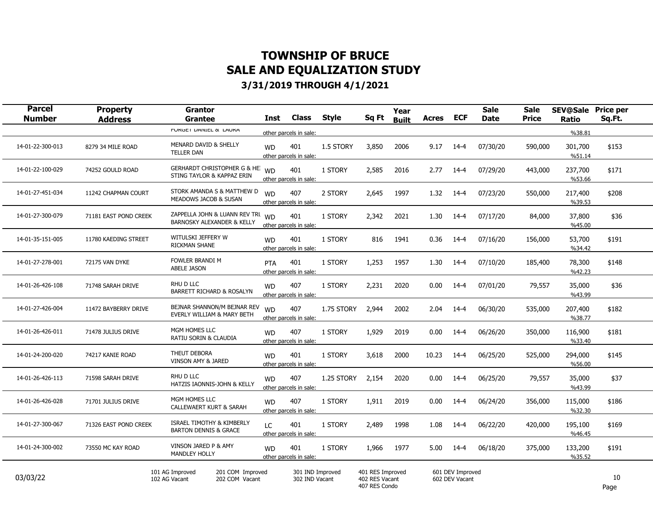| <b>Parcel</b><br><b>Number</b> | <b>Property</b><br><b>Address</b> | <b>Grantor</b><br><b>Grantee</b>                                          | <b>Inst</b> | <b>Class</b>                       | <b>Style</b> | Sq Ft                                               | Year<br><b>Built</b> | <b>Acres</b> | <b>ECF</b>                         | <b>Sale</b><br><b>Date</b> | <b>Sale</b><br><b>Price</b> | <b>SEV@Sale Price per</b><br><b>Ratio</b> | Sq.Ft.     |  |
|--------------------------------|-----------------------------------|---------------------------------------------------------------------------|-------------|------------------------------------|--------------|-----------------------------------------------------|----------------------|--------------|------------------------------------|----------------------------|-----------------------------|-------------------------------------------|------------|--|
|                                |                                   | <b>FURGET DAIVIEL &amp; LAURA</b>                                         |             | other parcels in sale:             |              |                                                     |                      |              |                                    |                            |                             | %38.81                                    |            |  |
| 14-01-22-300-013               | 8279 34 MILE ROAD                 | MENARD DAVID & SHELLY<br><b>TELLER DAN</b>                                | <b>WD</b>   | 401<br>other parcels in sale:      | 1.5 STORY    | 3,850                                               | 2006                 | 9.17         | $14 - 4$                           | 07/30/20                   | 590,000                     | 301,700<br>%51.14                         | \$153      |  |
| 14-01-22-100-029               | 74252 GOULD ROAD                  | GERHARDT CHRISTOPHER G & HE WD<br>STING TAYLOR & KAPPAZ ERIN              |             | 401<br>other parcels in sale:      | 1 STORY      | 2,585                                               | 2016                 | 2.77         | 14-4                               | 07/29/20                   | 443,000                     | 237,700<br>%53.66                         | \$171      |  |
| 14-01-27-451-034               | 11242 CHAPMAN COURT               | STORK AMANDA S & MATTHEW D<br>MEADOWS JACOB & SUSAN                       | <b>WD</b>   | 407<br>other parcels in sale:      | 2 STORY      | 2,645                                               | 1997                 | 1.32         | $14-4$                             | 07/23/20                   | 550,000                     | 217,400<br>%39.53                         | \$208      |  |
| 14-01-27-300-079               | 71181 EAST POND CREEK             | ZAPPELLA JOHN & LUANN REV TRI WD<br><b>BARNOSKY ALEXANDER &amp; KELLY</b> |             | 401<br>other parcels in sale:      | 1 STORY      | 2,342                                               | 2021                 | 1.30         | 14-4                               | 07/17/20                   | 84,000                      | 37,800<br>%45.00                          | \$36       |  |
| 14-01-35-151-005               | 11780 KAEDING STREET              | WITULSKI JEFFERY W<br>RICKMAN SHANE                                       | <b>WD</b>   | 401<br>other parcels in sale:      | 1 STORY      | 816                                                 | 1941                 | 0.36         | 14-4                               | 07/16/20                   | 156,000                     | 53,700<br>%34.42                          | \$191      |  |
| 14-01-27-278-001               | 72175 VAN DYKE                    | FOWLER BRANDI M<br>ABELE JASON                                            | PTA         | 401<br>other parcels in sale:      | 1 STORY      | 1,253                                               | 1957                 | 1.30         | 14-4                               | 07/10/20                   | 185,400                     | 78,300<br>%42.23                          | \$148      |  |
| 14-01-26-426-108               | 71748 SARAH DRIVE                 | RHU D LLC<br>BARRETT RICHARD & ROSALYN                                    | <b>WD</b>   | 407<br>other parcels in sale:      | 1 STORY      | 2,231                                               | 2020                 | 0.00         | $14 - 4$                           | 07/01/20                   | 79,557                      | 35,000<br>%43.99                          | \$36       |  |
| 14-01-27-426-004               | 11472 BAYBERRY DRIVE              | BEJNAR SHANNON/M BEJNAR REV<br>EVERLY WILLIAM & MARY BETH                 | <b>WD</b>   | 407<br>other parcels in sale:      | 1.75 STORY   | 2,944                                               | 2002                 | 2.04         | $14 - 4$                           | 06/30/20                   | 535,000                     | 207,400<br>%38.77                         | \$182      |  |
| 14-01-26-426-011               | 71478 JULIUS DRIVE                | MGM HOMES LLC<br>RATIU SORIN & CLAUDIA                                    | <b>WD</b>   | 407<br>other parcels in sale:      | 1 STORY      | 1,929                                               | 2019                 | 0.00         | 14-4                               | 06/26/20                   | 350,000                     | 116,900<br>%33.40                         | \$181      |  |
| 14-01-24-200-020               | 74217 KANIE ROAD                  | THEUT DEBORA<br>VINSON AMY & JARED                                        | <b>WD</b>   | 401<br>other parcels in sale:      | 1 STORY      | 3,618                                               | 2000                 | 10.23        | 14-4                               | 06/25/20                   | 525,000                     | 294,000<br>%56.00                         | \$145      |  |
| 14-01-26-426-113               | 71598 SARAH DRIVE                 | RHU D LLC<br>HATZIS IAONNIS-JOHN & KELLY                                  | <b>WD</b>   | 407<br>other parcels in sale:      | 1.25 STORY   | 2,154                                               | 2020                 | 0.00         | $14 - 4$                           | 06/25/20                   | 79,557                      | 35,000<br>%43.99                          | \$37       |  |
| 14-01-26-426-028               | 71701 JULIUS DRIVE                | MGM HOMES LLC<br><b>CALLEWAERT KURT &amp; SARAH</b>                       | <b>WD</b>   | 407<br>other parcels in sale:      | 1 STORY      | 1,911                                               | 2019                 | 0.00         | 14-4                               | 06/24/20                   | 356,000                     | 115,000<br>%32.30                         | \$186      |  |
| 14-01-27-300-067               | 71326 EAST POND CREEK             | ISRAEL TIMOTHY & KIMBERLY<br><b>BARTON DENNIS &amp; GRACE</b>             | LC          | 401<br>other parcels in sale:      | 1 STORY      | 2,489                                               | 1998                 | 1.08         | $14-4$                             | 06/22/20                   | 420,000                     | 195,100<br>%46.45                         | \$169      |  |
| 14-01-24-300-002               | 73550 MC KAY ROAD                 | VINSON JARED P & AMY<br><b>MANDLEY HOLLY</b>                              | <b>WD</b>   | 401<br>other parcels in sale:      | 1 STORY      | 1,966                                               | 1977                 | 5.00         | $14 - 4$                           | 06/18/20                   | 375,000                     | 133,200<br>%35.52                         | \$191      |  |
| 03/03/22                       |                                   | 101 AG Improved<br>201 COM Improved<br>102 AG Vacant<br>202 COM Vacant    |             | 301 IND Improved<br>302 IND Vacant |              | 401 RES Improved<br>402 RES Vacant<br>407 RES Condo |                      |              | 601 DEV Improved<br>602 DEV Vacant |                            |                             |                                           | 10<br>Page |  |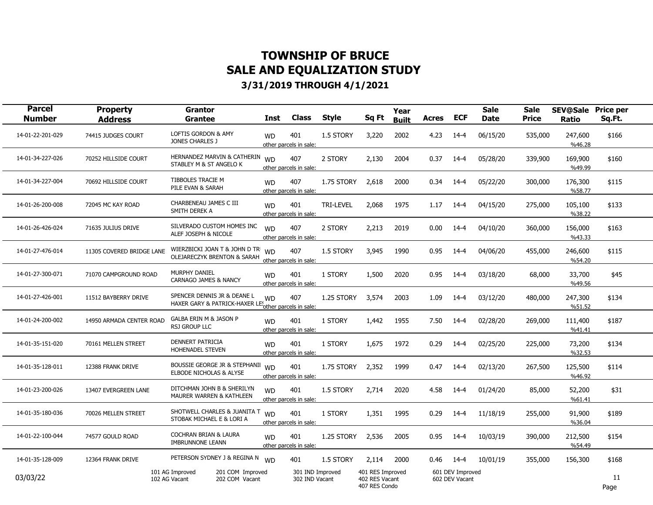| <b>Parcel</b><br><b>Number</b> | <b>Property</b><br><b>Address</b> | <b>Grantor</b><br>Grantee                                               | <b>Inst</b>                         | <b>Class</b>                       | <b>Style</b>     | Sq Ft                                               | Year<br><b>Built</b> | Acres | <b>ECF</b>                         | <b>Sale</b><br><b>Date</b> | <b>Sale</b><br>Price | <b>SEV@Sale Price per</b><br>Ratio | Sq.Ft.     |  |
|--------------------------------|-----------------------------------|-------------------------------------------------------------------------|-------------------------------------|------------------------------------|------------------|-----------------------------------------------------|----------------------|-------|------------------------------------|----------------------------|----------------------|------------------------------------|------------|--|
| 14-01-22-201-029               | 74415 JUDGES COURT                | LOFTIS GORDON & AMY<br>JONES CHARLES J                                  | <b>WD</b><br>other parcels in sale: | 401                                | 1.5 STORY        | 3,220                                               | 2002                 | 4.23  | $14 - 4$                           | 06/15/20                   | 535,000              | 247,600<br>%46.28                  | \$166      |  |
| 14-01-34-227-026               | 70252 HILLSIDE COURT              | HERNANDEZ MARVIN & CATHERIN WD<br>STABLEY M & ST ANGELO K               | other parcels in sale:              | 407                                | 2 STORY          | 2,130                                               | 2004                 | 0.37  | 14-4                               | 05/28/20                   | 339,900              | 169,900<br>%49.99                  | \$160      |  |
| 14-01-34-227-004               | 70692 HILLSIDE COURT              | TIBBOLES TRACIE M<br>PILE EVAN & SARAH                                  | <b>WD</b><br>other parcels in sale: | 407                                | 1.75 STORY       | 2,618                                               | 2000                 | 0.34  | $14 - 4$                           | 05/22/20                   | 300,000              | 176,300<br>%58.77                  | \$115      |  |
| 14-01-26-200-008               | 72045 MC KAY ROAD                 | CHARBENEAU JAMES C III<br>SMITH DEREK A                                 | <b>WD</b><br>other parcels in sale: | 401                                | <b>TRI-LEVEL</b> | 2,068                                               | 1975                 | 1.17  | 14-4                               | 04/15/20                   | 275,000              | 105,100<br>%38.22                  | \$133      |  |
| 14-01-26-426-024               | 71635 JULIUS DRIVE                | SILVERADO CUSTOM HOMES INC<br>ALEF JOSEPH & NICOLE                      | <b>WD</b><br>other parcels in sale: | 407                                | 2 STORY          | 2,213                                               | 2019                 | 0.00  | $14 - 4$                           | 04/10/20                   | 360,000              | 156,000<br>%43.33                  | \$163      |  |
| 14-01-27-476-014               | 11305 COVERED BRIDGE LANE         | WIERZBICKI JOAN T & JOHN D TR<br><b>OLEJARECZYK BRENTON &amp; SARAH</b> | <b>WD</b><br>other parcels in sale: | 407                                | 1.5 STORY        | 3,945                                               | 1990                 | 0.95  | $14 - 4$                           | 04/06/20                   | 455,000              | 246,600<br>%54.20                  | \$115      |  |
| 14-01-27-300-071               | 71070 CAMPGROUND ROAD             | <b>MURPHY DANIEL</b><br>CARNAGO JAMES & NANCY                           | <b>WD</b><br>other parcels in sale: | 401                                | 1 STORY          | 1,500                                               | 2020                 | 0.95  | $14 - 4$                           | 03/18/20                   | 68,000               | 33,700<br>%49.56                   | \$45       |  |
| 14-01-27-426-001               | 11512 BAYBERRY DRIVE              | SPENCER DENNIS JR & DEANE L<br>HAXER GARY & PATRICK-HAXER LE!           | <b>WD</b><br>other parcels in sale: | 407                                | 1.25 STORY       | 3,574                                               | 2003                 | 1.09  | $14 - 4$                           | 03/12/20                   | 480,000              | 247,300<br>%51.52                  | \$134      |  |
| 14-01-24-200-002               | 14950 ARMADA CENTER ROAD          | GALBA ERIN M & JASON P<br><b>RSJ GROUP LLC</b>                          | <b>WD</b><br>other parcels in sale: | 401                                | 1 STORY          | 1,442                                               | 1955                 | 7.50  | $14 - 4$                           | 02/28/20                   | 269,000              | 111,400<br>%41.41                  | \$187      |  |
| 14-01-35-151-020               | 70161 MELLEN STREET               | DENNERT PATRICIA<br>HOHENADEL STEVEN                                    | <b>WD</b><br>other parcels in sale: | 401                                | 1 STORY          | 1,675                                               | 1972                 | 0.29  | $14 - 4$                           | 02/25/20                   | 225,000              | 73,200<br>%32.53                   | \$134      |  |
| 14-01-35-128-011               | 12388 FRANK DRIVE                 | BOUSSIE GEORGE JR & STEPHANI WD<br>ELBODE NICHOLAS & ALYSE              | other parcels in sale:              | 401                                | 1.75 STORY       | 2,352                                               | 1999                 | 0.47  | 14-4                               | 02/13/20                   | 267,500              | 125,500<br>%46.92                  | \$114      |  |
| 14-01-23-200-026               | 13407 EVERGREEN LANE              | DITCHMAN JOHN B & SHERILYN<br>MAURER WARREN & KATHLEEN                  | <b>WD</b><br>other parcels in sale: | 401                                | 1.5 STORY        | 2,714                                               | 2020                 | 4.58  | $14 - 4$                           | 01/24/20                   | 85,000               | 52,200<br>%61.41                   | \$31       |  |
| 14-01-35-180-036               | 70026 MELLEN STREET               | SHOTWELL CHARLES & JUANITA T<br>STOBAK MICHAEL E & LORI A               | <b>WD</b><br>other parcels in sale: | 401                                | 1 STORY          | 1,351                                               | 1995                 | 0.29  | $14 - 4$                           | 11/18/19                   | 255,000              | 91,900<br>%36.04                   | \$189      |  |
| 14-01-22-100-044               | 74577 GOULD ROAD                  | COCHRAN BRIAN & LAURA<br><b>IMBRUNNONE LEANN</b>                        | <b>WD</b><br>other parcels in sale: | 401                                | 1.25 STORY       | 2,536                                               | 2005                 | 0.95  | $14-4$                             | 10/03/19                   | 390,000              | 212,500<br>%54.49                  | \$154      |  |
| 14-01-35-128-009               | 12364 FRANK DRIVE                 | PETERSON SYDNEY J & REGINA N WD                                         |                                     | 401                                | 1.5 STORY        | 2,114                                               | 2000                 | 0.46  | 14-4                               | 10/01/19                   | 355,000              | 156,300                            | \$168      |  |
| 03/03/22                       |                                   | 101 AG Improved<br>201 COM Improved<br>102 AG Vacant<br>202 COM Vacant  |                                     | 301 IND Improved<br>302 IND Vacant |                  | 401 RES Improved<br>402 RES Vacant<br>407 RES Condo |                      |       | 601 DEV Improved<br>602 DEV Vacant |                            |                      |                                    | 11<br>Page |  |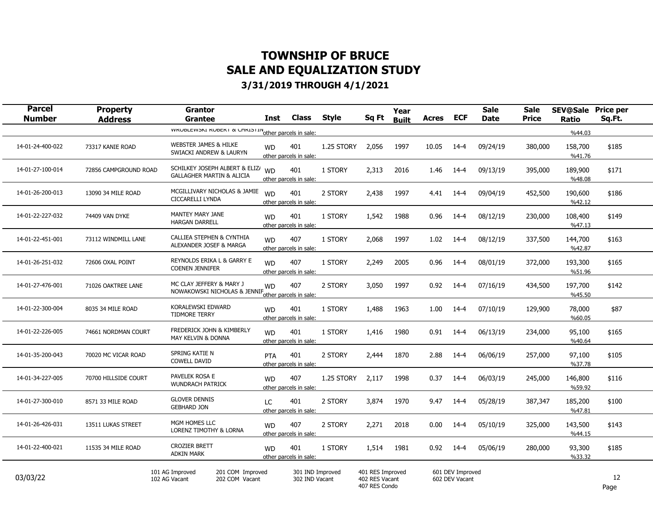| <b>Parcel</b><br><b>Number</b> | <b>Property</b><br><b>Address</b> | <b>Grantor</b><br><b>Grantee</b>                                                | <b>Inst</b> | <b>Class</b>                       | <b>Style</b> | Sq Ft                                               | Year<br><b>Built</b> | Acres | <b>ECF</b>                         | <b>Sale</b><br>Date | <b>Sale</b><br><b>Price</b> | <b>SEV@Sale</b><br>Ratio | <b>Price per</b><br>Sq.Ft. |
|--------------------------------|-----------------------------------|---------------------------------------------------------------------------------|-------------|------------------------------------|--------------|-----------------------------------------------------|----------------------|-------|------------------------------------|---------------------|-----------------------------|--------------------------|----------------------------|
|                                |                                   | WINDICTION KUPLAT & UTTALST AND TO THE PAPPER OF SALE .                         |             |                                    |              |                                                     |                      |       |                                    |                     |                             | %44.03                   |                            |
| 14-01-24-400-022               | 73317 KANIE ROAD                  | <b>WEBSTER JAMES &amp; HILKE</b><br>SWIACKI ANDREW & LAURYN                     | <b>WD</b>   | 401<br>other parcels in sale:      | 1.25 STORY   | 2,056                                               | 1997                 | 10.05 | 14-4                               | 09/24/19            | 380,000                     | 158,700<br>%41.76        | \$185                      |
| 14-01-27-100-014               | 72856 CAMPGROUND ROAD             | SCHILKEY JOSEPH ALBERT & ELIZ/ WD<br><b>GALLAGHER MARTIN &amp; ALICIA</b>       |             | 401<br>other parcels in sale:      | 1 STORY      | 2,313                                               | 2016                 | 1.46  | 14-4                               | 09/13/19            | 395,000                     | 189,900<br>%48.08        | \$171                      |
| 14-01-26-200-013               | 13090 34 MILE ROAD                | MCGILLIVARY NICHOLAS & JAMIE<br>CICCARELLI LYNDA                                | <b>WD</b>   | 401<br>other parcels in sale:      | 2 STORY      | 2,438                                               | 1997                 | 4.41  | $14-4$                             | 09/04/19            | 452,500                     | 190,600<br>%42.12        | \$186                      |
| 14-01-22-227-032               | 74409 VAN DYKE                    | MANTEY MARY JANE<br><b>HARGAN DARRELL</b>                                       | <b>WD</b>   | 401<br>other parcels in sale:      | 1 STORY      | 1,542                                               | 1988                 | 0.96  | $14-4$                             | 08/12/19            | 230,000                     | 108,400<br>%47.13        | \$149                      |
| 14-01-22-451-001               | 73112 WINDMILL LANE               | CALLIEA STEPHEN & CYNTHIA<br>ALEXANDER JOSEF & MARGA                            | <b>WD</b>   | 407<br>other parcels in sale:      | 1 STORY      | 2,068                                               | 1997                 | 1.02  | 14-4                               | 08/12/19            | 337,500                     | 144,700<br>%42.87        | \$163                      |
| 14-01-26-251-032               | 72606 OXAL POINT                  | REYNOLDS ERIKA L & GARRY E<br><b>COENEN JENNIFER</b>                            | <b>WD</b>   | 407<br>other parcels in sale:      | 1 STORY      | 2,249                                               | 2005                 | 0.96  | 14-4                               | 08/01/19            | 372,000                     | 193,300<br>%51.96        | \$165                      |
| 14-01-27-476-001               | 71026 OAKTREE LANE                | MC CLAY JEFFERY & MARY J<br>NOWAKOWSKI NICHOLAS & JENNIF other parcels in sale: | <b>WD</b>   | 407                                | 2 STORY      | 3,050                                               | 1997                 | 0.92  | $14-4$                             | 07/16/19            | 434,500                     | 197,700<br>%45.50        | \$142                      |
| 14-01-22-300-004               | 8035 34 MILE ROAD                 | KORALEWSKI EDWARD<br><b>TIDMORE TERRY</b>                                       | <b>WD</b>   | 401<br>other parcels in sale:      | 1 STORY      | 1,488                                               | 1963                 | 1.00  | 14-4                               | 07/10/19            | 129,900                     | 78,000<br>%60.05         | \$87                       |
| 14-01-22-226-005               | 74661 NORDMAN COURT               | FREDERICK JOHN & KIMBERLY<br><b>MAY KELVIN &amp; DONNA</b>                      | <b>WD</b>   | 401<br>other parcels in sale:      | 1 STORY      | 1,416                                               | 1980                 | 0.91  | 14-4                               | 06/13/19            | 234,000                     | 95,100<br>%40.64         | \$165                      |
| 14-01-35-200-043               | 70020 MC VICAR ROAD               | SPRING KATIE N<br><b>COWELL DAVID</b>                                           | <b>PTA</b>  | 401<br>other parcels in sale:      | 2 STORY      | 2,444                                               | 1870                 | 2.88  | 14-4                               | 06/06/19            | 257,000                     | 97,100<br>%37.78         | \$105                      |
| 14-01-34-227-005               | 70700 HILLSIDE COURT              | PAVELEK ROSA E<br><b>WUNDRACH PATRICK</b>                                       | <b>WD</b>   | 407<br>other parcels in sale:      | 1.25 STORY   | 2,117                                               | 1998                 | 0.37  | $14 - 4$                           | 06/03/19            | 245,000                     | 146,800<br>%59.92        | \$116                      |
| 14-01-27-300-010               | 8571 33 MILE ROAD                 | <b>GLOVER DENNIS</b><br><b>GEBHARD JON</b>                                      | LC          | 401<br>other parcels in sale:      | 2 STORY      | 3,874                                               | 1970                 | 9.47  | 14-4                               | 05/28/19            | 387,347                     | 185,200<br>%47.81        | \$100                      |
| 14-01-26-426-031               | 13511 LUKAS STREET                | MGM HOMES LLC<br><b>LORENZ TIMOTHY &amp; LORNA</b>                              | <b>WD</b>   | 407<br>other parcels in sale:      | 2 STORY      | 2,271                                               | 2018                 | 0.00  | 14-4                               | 05/10/19            | 325,000                     | 143,500<br>%44.15        | \$143                      |
| 14-01-22-400-021               | 11535 34 MILE ROAD                | <b>CROZIER BRETT</b><br><b>ADKIN MARK</b>                                       | <b>WD</b>   | 401<br>other parcels in sale:      | 1 STORY      | 1,514                                               | 1981                 | 0.92  | 14-4                               | 05/06/19            | 280,000                     | 93,300<br>%33.32         | \$185                      |
| 03/03/22                       |                                   | 101 AG Improved<br>201 COM Improved<br>102 AG Vacant<br>202 COM Vacant          |             | 301 IND Improved<br>302 IND Vacant |              | 401 RES Improved<br>402 RES Vacant<br>407 RES Condo |                      |       | 601 DEV Improved<br>602 DEV Vacant |                     |                             |                          | 12<br>Page                 |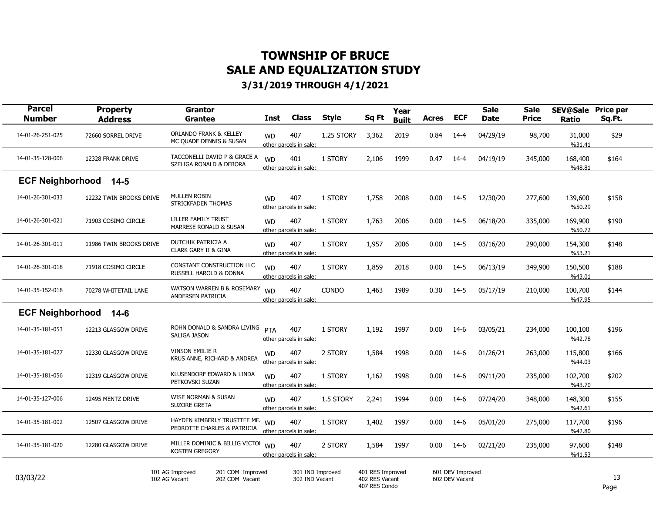| <b>Parcel</b><br><b>Number</b> | <b>Property</b><br><b>Address</b> | <b>Grantor</b><br>Grantee                                              | Inst      | <b>Class</b>                       | <b>Style</b> | Sq Ft                                               | Year<br><b>Built</b> | <b>Acres</b> | <b>ECF</b>                         | <b>Sale</b><br><b>Date</b> | <b>Sale</b><br><b>Price</b> | <b>SEV@Sale</b><br>Ratio | <b>Price per</b><br>Sq.Ft. |  |
|--------------------------------|-----------------------------------|------------------------------------------------------------------------|-----------|------------------------------------|--------------|-----------------------------------------------------|----------------------|--------------|------------------------------------|----------------------------|-----------------------------|--------------------------|----------------------------|--|
| 14-01-26-251-025               | 72660 SORREL DRIVE                | <b>ORLANDO FRANK &amp; KELLEY</b><br>MC QUADE DENNIS & SUSAN           | <b>WD</b> | 407<br>other parcels in sale:      | 1.25 STORY   | 3,362                                               | 2019                 | 0.84         | $14 - 4$                           | 04/29/19                   | 98,700                      | 31,000<br>%31.41         | \$29                       |  |
| 14-01-35-128-006               | 12328 FRANK DRIVE                 | TACCONELLI DAVID P & GRACE A<br>SZELIGA RONALD & DEBORA                | <b>WD</b> | 401<br>other parcels in sale:      | 1 STORY      | 2,106                                               | 1999                 | 0.47         | 14-4                               | 04/19/19                   | 345,000                     | 168,400<br>%48.81        | \$164                      |  |
| <b>ECF Neighborhood</b>        | $14 - 5$                          |                                                                        |           |                                    |              |                                                     |                      |              |                                    |                            |                             |                          |                            |  |
| 14-01-26-301-033               | 12232 TWIN BROOKS DRIVE           | MULLEN ROBIN<br>STRICKFADEN THOMAS                                     | <b>WD</b> | 407<br>other parcels in sale:      | 1 STORY      | 1,758                                               | 2008                 | 0.00         | $14-5$                             | 12/30/20                   | 277,600                     | 139,600<br>%50.29        | \$158                      |  |
| 14-01-26-301-021               | 71903 COSIMO CIRCLE               | <b>LILLER FAMILY TRUST</b><br><b>MARRESE RONALD &amp; SUSAN</b>        | <b>WD</b> | 407<br>other parcels in sale:      | 1 STORY      | 1,763                                               | 2006                 | 0.00         | 14-5                               | 06/18/20                   | 335,000                     | 169,900<br>%50.72        | \$190                      |  |
| 14-01-26-301-011               | 11986 TWIN BROOKS DRIVE           | DUTCHIK PATRICIA A<br><b>CLARK GARY II &amp; GINA</b>                  | <b>WD</b> | 407<br>other parcels in sale:      | 1 STORY      | 1,957                                               | 2006                 | 0.00         | $14-5$                             | 03/16/20                   | 290,000                     | 154,300<br>%53.21        | \$148                      |  |
| 14-01-26-301-018               | 71918 COSIMO CIRCLE               | CONSTANT CONSTRUCTION LLC<br>RUSSELL HAROLD & DONNA                    | <b>WD</b> | 407<br>other parcels in sale:      | 1 STORY      | 1,859                                               | 2018                 | 0.00         | 14-5                               | 06/13/19                   | 349,900                     | 150,500<br>%43.01        | \$188                      |  |
| 14-01-35-152-018               | 70278 WHITETAIL LANE              | WATSON WARREN B & ROSEMARY<br>ANDERSEN PATRICIA                        | <b>WD</b> | 407<br>other parcels in sale:      | <b>CONDO</b> | 1,463                                               | 1989                 | 0.30         | $14-5$                             | 05/17/19                   | 210,000                     | 100,700<br>%47.95        | \$144                      |  |
| <b>ECF Neighborhood</b>        | $14-6$                            |                                                                        |           |                                    |              |                                                     |                      |              |                                    |                            |                             |                          |                            |  |
| 14-01-35-181-053               | 12213 GLASGOW DRIVE               | ROHN DONALD & SANDRA LIVING<br>SALIGA JASON                            | PTA       | 407<br>other parcels in sale:      | 1 STORY      | 1,192                                               | 1997                 | 0.00         | 14-6                               | 03/05/21                   | 234,000                     | 100,100<br>%42.78        | \$196                      |  |
| 14-01-35-181-027               | 12330 GLASGOW DRIVE               | <b>VINSON EMILIE R</b><br>KRUS ANNE, RICHARD & ANDREA                  | <b>WD</b> | 407<br>other parcels in sale:      | 2 STORY      | 1,584                                               | 1998                 | 0.00         | $14-6$                             | 01/26/21                   | 263,000                     | 115,800<br>%44.03        | \$166                      |  |
| 14-01-35-181-056               | 12319 GLASGOW DRIVE               | KLUSENDORF EDWARD & LINDA<br>PETKOVSKI SUZAN                           | <b>WD</b> | 407<br>other parcels in sale:      | 1 STORY      | 1,162                                               | 1998                 | 0.00         | $14-6$                             | 09/11/20                   | 235,000                     | 102,700<br>%43.70        | \$202                      |  |
| 14-01-35-127-006               | 12495 MENTZ DRIVE                 | WISE NORMAN & SUSAN<br><b>SUZORE GRETA</b>                             | <b>WD</b> | 407<br>other parcels in sale:      | 1.5 STORY    | 2,241                                               | 1994                 | 0.00         | 14-6                               | 07/24/20                   | 348,000                     | 148,300<br>%42.61        | \$155                      |  |
| 14-01-35-181-002               | 12507 GLASGOW DRIVE               | HAYDEN KIMBERLY TRUSTTEE ME.<br>PEDROTTE CHARLES & PATRICIA            | <b>WD</b> | 407<br>other parcels in sale:      | 1 STORY      | 1,402                                               | 1997                 | 0.00         | 14-6                               | 05/01/20                   | 275,000                     | 117,700<br>%42.80        | \$196                      |  |
| 14-01-35-181-020               | 12280 GLASGOW DRIVE               | MILLER DOMINIC & BILLIG VICTOI<br><b>KOSTEN GREGORY</b>                | <b>WD</b> | 407<br>other parcels in sale:      | 2 STORY      | 1,584                                               | 1997                 | 0.00         | 14-6                               | 02/21/20                   | 235,000                     | 97,600<br>%41.53         | \$148                      |  |
| 03/03/22                       |                                   | 101 AG Improved<br>201 COM Improved<br>102 AG Vacant<br>202 COM Vacant |           | 301 IND Improved<br>302 IND Vacant |              | 401 RES Improved<br>402 RES Vacant<br>407 RES Condo |                      |              | 601 DEV Improved<br>602 DEV Vacant |                            |                             |                          | 13<br>Page                 |  |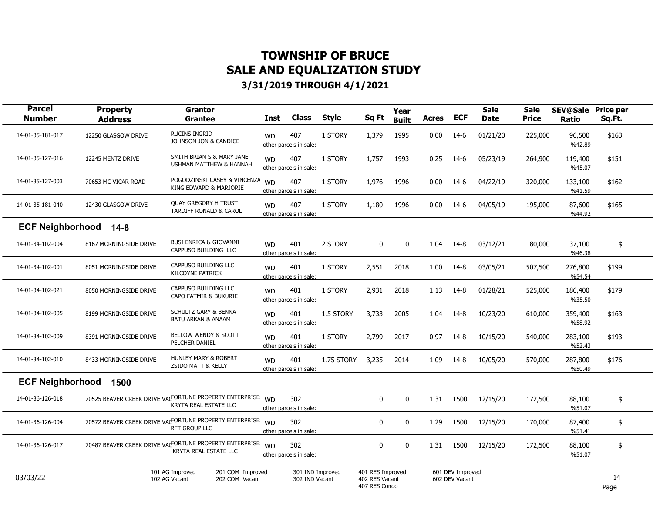| <b>Parcel</b><br><b>Number</b> | <b>Property</b><br><b>Address</b> | <b>Grantor</b><br><b>Grantee</b>                                                            | <b>Inst</b> | <b>Class</b>                       | <b>Style</b> | Sq Ft                                               | Year<br><b>Built</b> | <b>Acres</b> | <b>ECF</b>                         | <b>Sale</b><br><b>Date</b> | <b>Sale</b><br><b>Price</b> | <b>SEV@Sale</b><br><b>Ratio</b> | <b>Price per</b><br>Sq.Ft. |  |
|--------------------------------|-----------------------------------|---------------------------------------------------------------------------------------------|-------------|------------------------------------|--------------|-----------------------------------------------------|----------------------|--------------|------------------------------------|----------------------------|-----------------------------|---------------------------------|----------------------------|--|
| 14-01-35-181-017               | 12250 GLASGOW DRIVE               | <b>RUCINS INGRID</b><br>JOHNSON JON & CANDICE                                               | <b>WD</b>   | 407<br>other parcels in sale:      | 1 STORY      | 1,379                                               | 1995                 | 0.00         | 14-6                               | 01/21/20                   | 225,000                     | 96,500<br>%42.89                | \$163                      |  |
| 14-01-35-127-016               | 12245 MENTZ DRIVE                 | SMITH BRIAN S & MARY JANE<br>USHMAN MATTHEW & HANNAH                                        | <b>WD</b>   | 407<br>other parcels in sale:      | 1 STORY      | 1,757                                               | 1993                 | 0.25         | $14-6$                             | 05/23/19                   | 264,900                     | 119,400<br>%45.07               | \$151                      |  |
| 14-01-35-127-003               | 70653 MC VICAR ROAD               | POGODZINSKI CASEY & VINCENZA<br>KING EDWARD & MARJORIE                                      | <b>WD</b>   | 407<br>other parcels in sale:      | 1 STORY      | 1,976                                               | 1996                 | 0.00         | 14-6                               | 04/22/19                   | 320,000                     | 133,100<br>%41.59               | \$162                      |  |
| 14-01-35-181-040               | 12430 GLASGOW DRIVE               | <b>QUAY GREGORY H TRUST</b><br>TARDIFF RONALD & CAROL                                       | <b>WD</b>   | 407<br>other parcels in sale:      | 1 STORY      | 1,180                                               | 1996                 | 0.00         | $14-6$                             | 04/05/19                   | 195,000                     | 87,600<br>%44.92                | \$165                      |  |
| <b>ECF Neighborhood</b>        | $14-8$                            |                                                                                             |             |                                    |              |                                                     |                      |              |                                    |                            |                             |                                 |                            |  |
| 14-01-34-102-004               | 8167 MORNINGSIDE DRIVE            | <b>BUSI ENRICA &amp; GIOVANNI</b><br>CAPPUSO BUILDING LLC                                   | <b>WD</b>   | 401<br>other parcels in sale:      | 2 STORY      | 0                                                   | 0                    | 1.04         | 14-8                               | 03/12/21                   | 80,000                      | 37,100<br>%46.38                | \$                         |  |
| 14-01-34-102-001               | 8051 MORNINGSIDE DRIVE            | CAPPUSO BUILDING LLC<br><b>KILCOYNE PATRICK</b>                                             | <b>WD</b>   | 401<br>other parcels in sale:      | 1 STORY      | 2,551                                               | 2018                 | 1.00         | $14-8$                             | 03/05/21                   | 507,500                     | 276,800<br>%54.54               | \$199                      |  |
| 14-01-34-102-021               | 8050 MORNINGSIDE DRIVE            | CAPPUSO BUILDING LLC<br>CAPO FATMIR & BUKURIE                                               | <b>WD</b>   | 401<br>other parcels in sale:      | 1 STORY      | 2,931                                               | 2018                 | 1.13         | 14-8                               | 01/28/21                   | 525,000                     | 186,400<br>%35.50               | \$179                      |  |
| 14-01-34-102-005               | 8199 MORNINGSIDE DRIVE            | SCHULTZ GARY & BENNA<br><b>BATU ARKAN &amp; ANAAM</b>                                       | <b>WD</b>   | 401<br>other parcels in sale:      | 1.5 STORY    | 3,733                                               | 2005                 | 1.04         | 14-8                               | 10/23/20                   | 610,000                     | 359,400<br>%58.92               | \$163                      |  |
| 14-01-34-102-009               | 8391 MORNINGSIDE DRIVE            | BELLOW WENDY & SCOTT<br>PELCHER DANIEL                                                      | <b>WD</b>   | 401<br>other parcels in sale:      | 1 STORY      | 2,799                                               | 2017                 | 0.97         | 14-8                               | 10/15/20                   | 540,000                     | 283,100<br>%52.43               | \$193                      |  |
| 14-01-34-102-010               | 8433 MORNINGSIDE DRIVE            | <b>HUNLEY MARY &amp; ROBERT</b><br><b>ZSIDO MATT &amp; KELLY</b>                            | <b>WD</b>   | 401<br>other parcels in sale:      | 1.75 STORY   | 3,235                                               | 2014                 | 1.09         | 14-8                               | 10/05/20                   | 570,000                     | 287,800<br>%50.49               | \$176                      |  |
| <b>ECF Neighborhood</b>        | 1500                              |                                                                                             |             |                                    |              |                                                     |                      |              |                                    |                            |                             |                                 |                            |  |
| 14-01-36-126-018               |                                   | 70525 BEAVER CREEK DRIVE VACFORTUNE PROPERTY ENTERPRISE: WD<br>KRYTA REAL ESTATE LLC        |             | 302<br>other parcels in sale:      |              | 0                                                   | 0                    | 1.31         | 1500                               | 12/15/20                   | 172,500                     | 88,100<br>%51.07                | \$                         |  |
| 14-01-36-126-004               |                                   | 70572 BEAVER CREEK DRIVE VACTORTUNE PROPERTY ENTERPRISE<br><b>RFT GROUP LLC</b>             | <b>WD</b>   | 302<br>other parcels in sale:      |              | 0                                                   | 0                    | 1.29         | 1500                               | 12/15/20                   | 170,000                     | 87,400<br>%51.41                | \$                         |  |
| 14-01-36-126-017               |                                   | 70487 BEAVER CREEK DRIVE VACFORTUNE PROPERTY ENTERPRISE: WD<br><b>KRYTA REAL ESTATE LLC</b> |             | 302<br>other parcels in sale:      |              | 0                                                   | 0                    | 1.31         | 1500                               | 12/15/20                   | 172,500                     | 88,100<br>%51.07                | \$                         |  |
| 03/03/22                       |                                   | 101 AG Improved<br>201 COM Improved<br>102 AG Vacant<br>202 COM Vacant                      |             | 301 IND Improved<br>302 IND Vacant |              | 401 RES Improved<br>402 RES Vacant<br>407 RES Condo |                      |              | 601 DEV Improved<br>602 DEV Vacant |                            |                             |                                 | 14<br>Page                 |  |